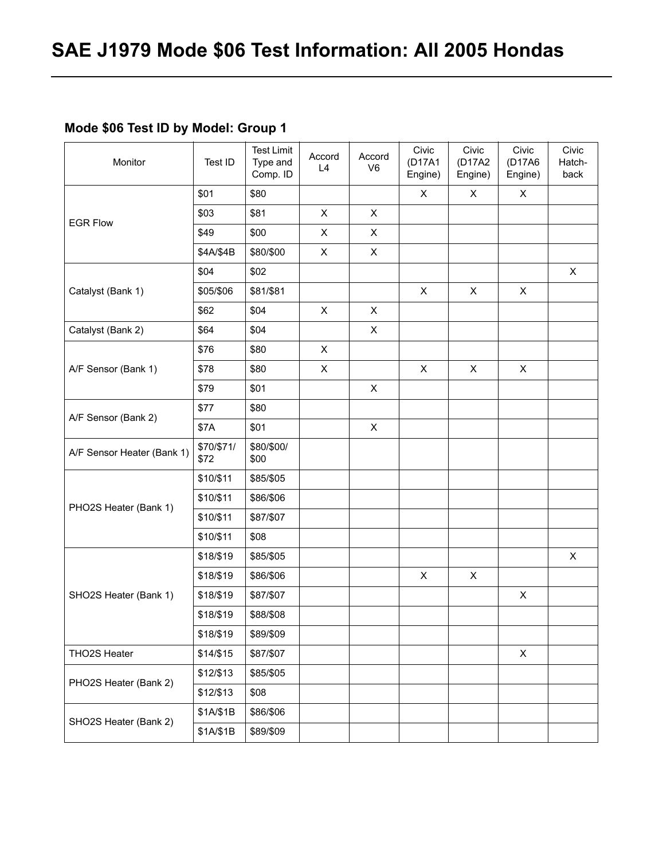### **Mode \$06 Test ID by Model: Group 1**

| Monitor                    | Test ID            | <b>Test Limit</b><br>Type and<br>Comp. ID | Accord<br>L4 | Accord<br>V <sub>6</sub>  | Civic<br>(D17A1<br>Engine) | Civic<br>(D17A2<br>Engine) | Civic<br>(D17A6<br>Engine) | Civic<br>Hatch-<br>back |
|----------------------------|--------------------|-------------------------------------------|--------------|---------------------------|----------------------------|----------------------------|----------------------------|-------------------------|
|                            | \$01               | \$80                                      |              |                           | X                          | X                          | X                          |                         |
| <b>EGR Flow</b>            | \$03               | \$81                                      | X            | $\mathsf{X}$              |                            |                            |                            |                         |
|                            | \$49               | \$00                                      | X            | $\boldsymbol{\mathsf{X}}$ |                            |                            |                            |                         |
|                            | \$4A/\$4B          | \$80/\$00                                 | X            | $\mathsf{X}$              |                            |                            |                            |                         |
|                            | \$04               | \$02                                      |              |                           |                            |                            |                            | X                       |
| Catalyst (Bank 1)          | \$05/\$06          | \$81/\$81                                 |              |                           | X                          | X                          | X                          |                         |
|                            | \$62               | \$04                                      | X            | X                         |                            |                            |                            |                         |
| Catalyst (Bank 2)          | \$64               | \$04                                      |              | $\mathsf{X}$              |                            |                            |                            |                         |
|                            | \$76               | \$80                                      | X            |                           |                            |                            |                            |                         |
| A/F Sensor (Bank 1)        | \$78               | \$80                                      | X            |                           | X                          | $\mathsf{X}$               | X                          |                         |
|                            | \$79               | \$01                                      |              | X                         |                            |                            |                            |                         |
| A/F Sensor (Bank 2)        | \$77               | \$80                                      |              |                           |                            |                            |                            |                         |
|                            | \$7A               | \$01                                      |              | $\boldsymbol{\mathsf{X}}$ |                            |                            |                            |                         |
| A/F Sensor Heater (Bank 1) | \$70/\$71/<br>\$72 | \$80/\$00/<br>\$00                        |              |                           |                            |                            |                            |                         |
|                            | \$10/\$11          | \$85/\$05                                 |              |                           |                            |                            |                            |                         |
|                            | \$10/\$11          | \$86/\$06                                 |              |                           |                            |                            |                            |                         |
| PHO2S Heater (Bank 1)      | \$10/\$11          | \$87/\$07                                 |              |                           |                            |                            |                            |                         |
|                            | \$10/\$11          | \$08                                      |              |                           |                            |                            |                            |                         |
|                            | \$18/\$19          | \$85/\$05                                 |              |                           |                            |                            |                            | X                       |
|                            | \$18/\$19          | \$86/\$06                                 |              |                           | $\pmb{\times}$             | X                          |                            |                         |
| SHO2S Heater (Bank 1)      | \$18/\$19          | \$87/\$07                                 |              |                           |                            |                            | X                          |                         |
|                            | \$18/\$19          | \$88/\$08                                 |              |                           |                            |                            |                            |                         |
|                            | \$18/\$19          | \$89/\$09                                 |              |                           |                            |                            |                            |                         |
| THO2S Heater               | \$14/\$15          | \$87/\$07                                 |              |                           |                            |                            | X                          |                         |
|                            | \$12/\$13          | \$85/\$05                                 |              |                           |                            |                            |                            |                         |
| PHO2S Heater (Bank 2)      | \$12/\$13          | \$08                                      |              |                           |                            |                            |                            |                         |
|                            | \$1A/\$1B          | \$86/\$06                                 |              |                           |                            |                            |                            |                         |
| SHO2S Heater (Bank 2)      | \$1A/\$1B          | \$89/\$09                                 |              |                           |                            |                            |                            |                         |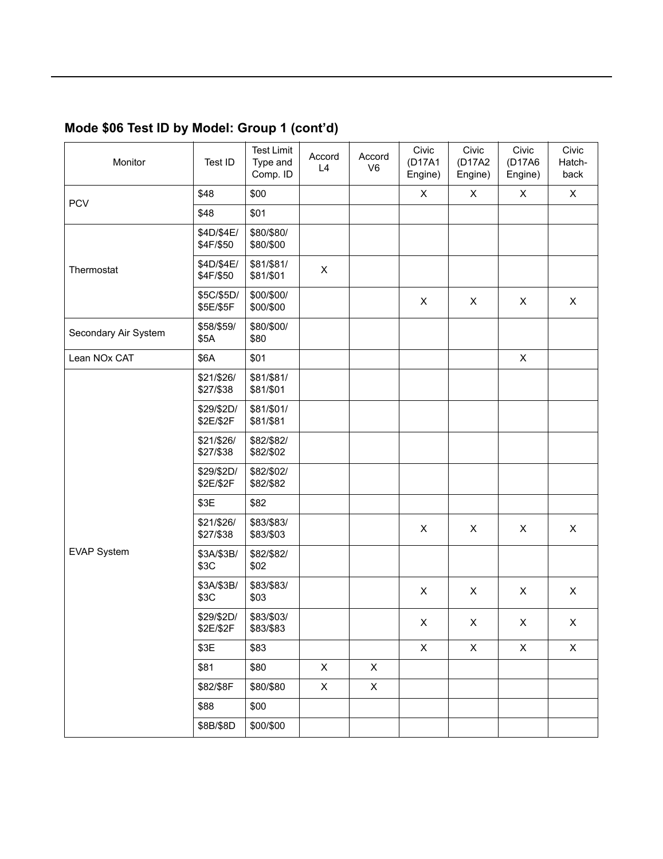### **Mode \$06 Test ID by Model: Group 1 (contíd)**

| Monitor              | Test ID                 | <b>Test Limit</b><br>Type and<br>Comp. ID | Accord<br>L4 | Accord<br>V <sub>6</sub> | Civic<br>(D17A1<br>Engine) | Civic<br>(D17A2<br>Engine) | Civic<br>(D17A6<br>Engine) | Civic<br>Hatch-<br>back |
|----------------------|-------------------------|-------------------------------------------|--------------|--------------------------|----------------------------|----------------------------|----------------------------|-------------------------|
| <b>PCV</b>           | \$48                    | \$00                                      |              |                          | X                          | $\mathsf{X}$               | X                          | $\mathsf{X}$            |
|                      | \$48                    | \$01                                      |              |                          |                            |                            |                            |                         |
|                      | \$4D/\$4E/<br>\$4F/\$50 | \$80/\$80/<br>\$80/\$00                   |              |                          |                            |                            |                            |                         |
| Thermostat           | \$4D/\$4E/<br>\$4F/\$50 | \$81/\$81/<br>\$81/\$01                   | X            |                          |                            |                            |                            |                         |
|                      | \$5C/\$5D/<br>\$5E/\$5F | \$00/\$00/<br>\$00/\$00                   |              |                          | X                          | X                          | X                          | $\mathsf{X}$            |
| Secondary Air System | \$58/\$59/<br>\$5A      | \$80/\$00/<br>\$80                        |              |                          |                            |                            |                            |                         |
| Lean NOx CAT         | \$6A                    | \$01                                      |              |                          |                            |                            | $\mathsf{X}$               |                         |
|                      | \$21/\$26/<br>\$27/\$38 | \$81/\$81/<br>\$81/\$01                   |              |                          |                            |                            |                            |                         |
|                      | \$29/\$2D/<br>\$2E/\$2F | \$81/\$01/<br>\$81/\$81                   |              |                          |                            |                            |                            |                         |
|                      | \$21/\$26/<br>\$27/\$38 | \$82/\$82/<br>\$82/\$02                   |              |                          |                            |                            |                            |                         |
|                      | \$29/\$2D/<br>\$2E/\$2F | \$82/\$02/<br>\$82/\$82                   |              |                          |                            |                            |                            |                         |
|                      | \$3E                    | \$82                                      |              |                          |                            |                            |                            |                         |
|                      | \$21/\$26/<br>\$27/\$38 | \$83/\$83/<br>\$83/\$03                   |              |                          | X                          | X                          | $\pmb{\times}$             | X                       |
| <b>EVAP System</b>   | \$3A/\$3B/<br>\$3C      | \$82/\$82/<br>\$02                        |              |                          |                            |                            |                            |                         |
|                      | \$3A/\$3B/<br>\$3C      | \$83/\$83/<br>\$03                        |              |                          | X                          | X                          | X                          | X                       |
|                      | \$29/\$2D/<br>\$2E/\$2F | \$83/\$03/<br>\$83/\$83                   |              |                          | X                          | X                          | X                          | X                       |
|                      | \$3E                    | \$83                                      |              |                          | $\mathsf{X}$               | X                          | $\mathsf{X}$               | $\mathsf{X}$            |
|                      | \$81                    | \$80                                      | $\mathsf{X}$ | $\mathsf{X}$             |                            |                            |                            |                         |
|                      | \$82/\$8F               | \$80/\$80                                 | X            | $\mathsf{X}$             |                            |                            |                            |                         |
|                      | \$88                    | \$00                                      |              |                          |                            |                            |                            |                         |
|                      | \$8B/\$8D               | \$00/\$00                                 |              |                          |                            |                            |                            |                         |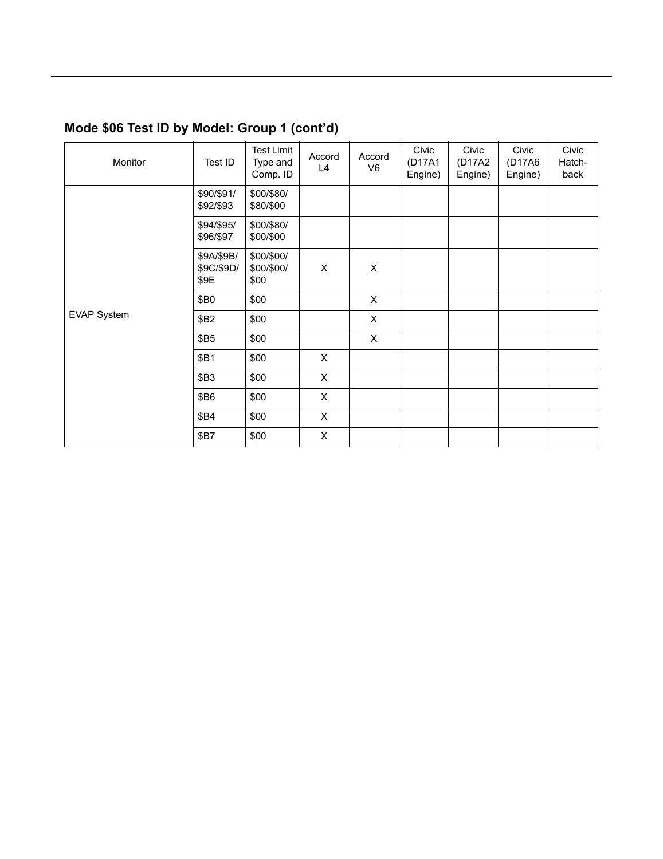### **Mode \$06 Test ID by Model: Group 1 (contíd)**

| Monitor     | Test ID                          | <b>Test Limit</b><br>Type and<br>Comp. ID | Accord<br>L4   | Accord<br>V <sub>6</sub> | Civic<br>(D17A1<br>Engine) | Civic<br>(D17A2<br>Engine) | Civic<br>(D17A6<br>Engine) | Civic<br>Hatch-<br>back |
|-------------|----------------------------------|-------------------------------------------|----------------|--------------------------|----------------------------|----------------------------|----------------------------|-------------------------|
|             | \$90/\$91/<br>\$92/\$93          | \$00/\$80/<br>\$80/\$00                   |                |                          |                            |                            |                            |                         |
|             | \$94/\$95/<br>\$96/\$97          | \$00/\$80/<br>\$00/\$00                   |                |                          |                            |                            |                            |                         |
|             | \$9A/\$9B/<br>\$9C/\$9D/<br>\$9E | \$00/\$00/<br>\$00/\$00/<br>\$00          | $\pmb{\times}$ | $\pmb{\times}$           |                            |                            |                            |                         |
|             | \$B0                             | \$00                                      |                | X                        |                            |                            |                            |                         |
| EVAP System | \$B2                             | \$00                                      |                | $\mathsf{X}$             |                            |                            |                            |                         |
|             | \$B5                             | \$00                                      |                | $\mathsf{X}$             |                            |                            |                            |                         |
|             | \$B1                             | \$00                                      | $\pmb{\times}$ |                          |                            |                            |                            |                         |
|             | \$B3                             | \$00                                      | $\pmb{\times}$ |                          |                            |                            |                            |                         |
|             | \$B6                             | \$00                                      | $\pmb{\times}$ |                          |                            |                            |                            |                         |
|             | \$B4                             | \$00                                      | $\pmb{\times}$ |                          |                            |                            |                            |                         |
|             | \$B7                             | \$00                                      | $\pmb{\times}$ |                          |                            |                            |                            |                         |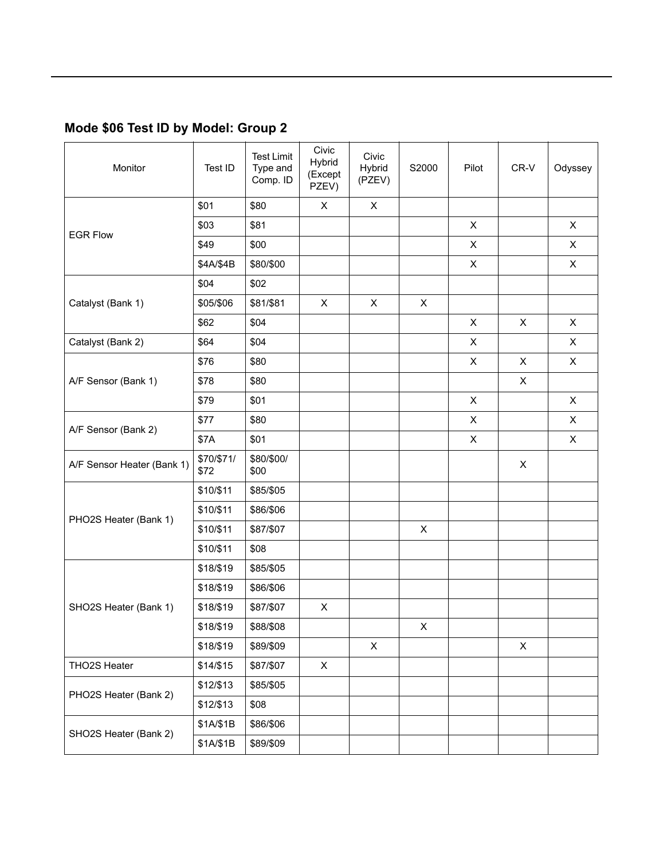### **Mode \$06 Test ID by Model: Group 2**

| Monitor                    | Test ID            | <b>Test Limit</b><br>Type and<br>Comp. ID | Civic<br>Hybrid<br>(Except<br>PZEV) | Civic<br>Hybrid<br>(PZEV) | S2000        | Pilot          | CR-V        | Odyssey        |
|----------------------------|--------------------|-------------------------------------------|-------------------------------------|---------------------------|--------------|----------------|-------------|----------------|
|                            | \$01               | \$80                                      | X                                   | X                         |              |                |             |                |
| <b>EGR Flow</b>            | \$03               | \$81                                      |                                     |                           |              | $\mathsf{X}$   |             | $\mathsf{X}$   |
|                            | \$49               | \$00                                      |                                     |                           |              | X              |             | $\mathsf{X}$   |
|                            | \$4A/\$4B          | \$80/\$00                                 |                                     |                           |              | $\mathsf{X}$   |             | $\mathsf{X}$   |
|                            | \$04               | \$02                                      |                                     |                           |              |                |             |                |
| Catalyst (Bank 1)          | \$05/\$06          | \$81/\$81                                 | X                                   | $\pmb{\times}$            | $\mathsf{X}$ |                |             |                |
|                            | \$62               | \$04                                      |                                     |                           |              | X              | X           | $\pmb{\times}$ |
| Catalyst (Bank 2)          | \$64               | \$04                                      |                                     |                           |              | X              |             | $\pmb{\times}$ |
|                            | \$76               | \$80                                      |                                     |                           |              | X              | X           | $\mathsf{X}$   |
| A/F Sensor (Bank 1)        | \$78               | \$80                                      |                                     |                           |              |                | X           |                |
|                            | \$79               | \$01                                      |                                     |                           |              | $\mathsf{X}$   |             | $\pmb{\times}$ |
|                            | \$77               | \$80                                      |                                     |                           |              | X              |             | $\mathsf{X}$   |
| A/F Sensor (Bank 2)        | \$7A               | \$01                                      |                                     |                           |              | $\pmb{\times}$ |             | $\mathsf{X}$   |
| A/F Sensor Heater (Bank 1) | \$70/\$71/<br>\$72 | \$80/\$00/<br>\$00                        |                                     |                           |              |                | X           |                |
|                            | \$10/\$11          | \$85/\$05                                 |                                     |                           |              |                |             |                |
|                            | \$10/\$11          | \$86/\$06                                 |                                     |                           |              |                |             |                |
| PHO2S Heater (Bank 1)      | \$10/\$11          | \$87/\$07                                 |                                     |                           | X            |                |             |                |
|                            | \$10/\$11          | \$08                                      |                                     |                           |              |                |             |                |
|                            | \$18/\$19          | \$85/\$05                                 |                                     |                           |              |                |             |                |
|                            | \$18/\$19          | \$86/\$06                                 |                                     |                           |              |                |             |                |
| SHO2S Heater (Bank 1)      | \$18/\$19          | \$87/\$07                                 | X                                   |                           |              |                |             |                |
|                            | \$18/\$19          | \$88/\$08                                 |                                     |                           | X            |                |             |                |
|                            | \$18/\$19          | \$89/\$09                                 |                                     | $\mathsf X$               |              |                | $\mathsf X$ |                |
| THO2S Heater               | \$14/\$15          | \$87/\$07                                 | $\mathsf{X}$                        |                           |              |                |             |                |
|                            | \$12/\$13          | \$85/\$05                                 |                                     |                           |              |                |             |                |
| PHO2S Heater (Bank 2)      | \$12/\$13          | \$08                                      |                                     |                           |              |                |             |                |
|                            | \$1A/\$1B          | \$86/\$06                                 |                                     |                           |              |                |             |                |
| SHO2S Heater (Bank 2)      | \$1A/\$1B          | \$89/\$09                                 |                                     |                           |              |                |             |                |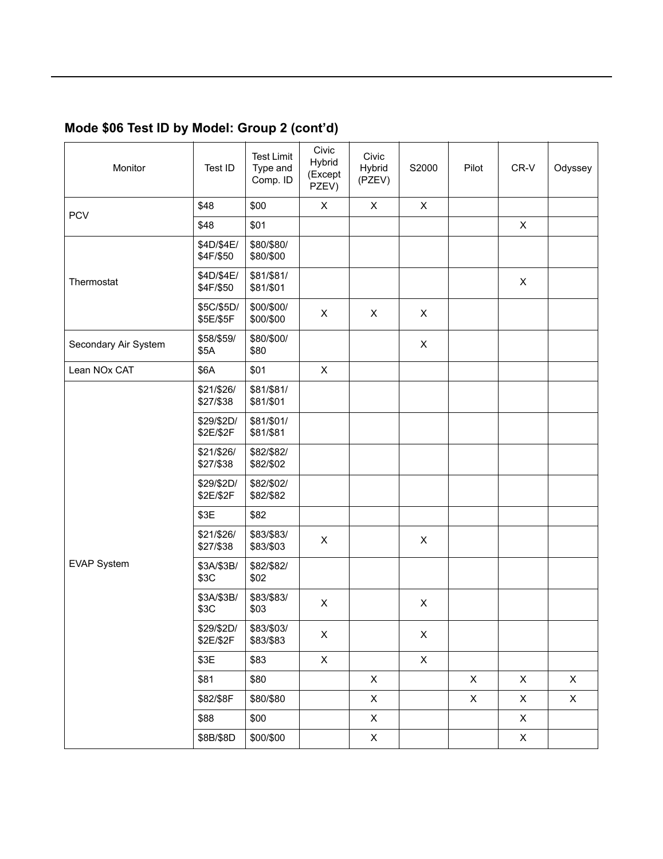### **Mode \$06 Test ID by Model: Group 2 (contíd)**

| Monitor              | Test ID                 | <b>Test Limit</b><br>Type and<br>Comp. ID | Civic<br><b>Hybrid</b><br>(Except<br>PZEV) | Civic<br>Hybrid<br>(PZEV) | S2000                     | Pilot       | CR-V           | Odyssey      |
|----------------------|-------------------------|-------------------------------------------|--------------------------------------------|---------------------------|---------------------------|-------------|----------------|--------------|
| <b>PCV</b>           | \$48                    | \$00                                      | X                                          | $\mathsf{X}$              | $\pmb{\times}$            |             |                |              |
|                      | \$48                    | \$01                                      |                                            |                           |                           |             | $\pmb{\times}$ |              |
|                      | \$4D/\$4E/<br>\$4F/\$50 | \$80/\$80/<br>\$80/\$00                   |                                            |                           |                           |             |                |              |
| Thermostat           | \$4D/\$4E/<br>\$4F/\$50 | \$81/\$81/<br>\$81/\$01                   |                                            |                           |                           |             | X              |              |
|                      | \$5C/\$5D/<br>\$5E/\$5F | \$00/\$00/<br>\$00/\$00                   | X                                          | X                         | X                         |             |                |              |
| Secondary Air System | \$58/\$59/<br>\$5A      | \$80/\$00/<br>\$80                        |                                            |                           | X                         |             |                |              |
| Lean NOx CAT         | \$6A                    | \$01                                      | $\pmb{\times}$                             |                           |                           |             |                |              |
|                      | \$21/\$26/<br>\$27/\$38 | \$81/\$81/<br>\$81/\$01                   |                                            |                           |                           |             |                |              |
|                      | \$29/\$2D/<br>\$2E/\$2F | \$81/\$01/<br>\$81/\$81                   |                                            |                           |                           |             |                |              |
|                      | \$21/\$26/<br>\$27/\$38 | \$82/\$82/<br>\$82/\$02                   |                                            |                           |                           |             |                |              |
|                      | \$29/\$2D/<br>\$2E/\$2F | \$82/\$02/<br>\$82/\$82                   |                                            |                           |                           |             |                |              |
|                      | \$3E                    | \$82                                      |                                            |                           |                           |             |                |              |
|                      | \$21/\$26/<br>\$27/\$38 | \$83/\$83/<br>\$83/\$03                   | X                                          |                           | X                         |             |                |              |
| <b>EVAP System</b>   | \$3A/\$3B/<br>\$3C      | \$82/\$82/<br>\$02                        |                                            |                           |                           |             |                |              |
|                      | \$3A/\$3B/<br>\$3C      | \$83/\$83/<br>\$03                        | $\pmb{\times}$                             |                           | $\pmb{\times}$            |             |                |              |
|                      | \$29/\$2D/<br>\$2E/\$2F | \$83/\$03/<br>\$83/\$83                   | $\mathsf X$                                |                           | $\boldsymbol{\mathsf{X}}$ |             |                |              |
|                      | \$3E                    | \$83                                      | $\mathsf{X}$                               |                           | $\mathsf{X}$              |             |                |              |
|                      | \$81                    | \$80                                      |                                            | $\mathsf X$               |                           | $\mathsf X$ | $\mathsf{X}$   | $\mathsf{X}$ |
|                      | \$82/\$8F               | \$80/\$80                                 |                                            | $\mathsf{X}$              |                           | $\mathsf X$ | $\mathsf{X}$   | $\mathsf{X}$ |
|                      | \$88                    | \$00                                      |                                            | $\mathsf X$               |                           |             | $\mathsf{X}$   |              |
|                      | \$8B/\$8D               | \$00/\$00                                 |                                            | $\mathsf{X}$              |                           |             | $\mathsf{X}$   |              |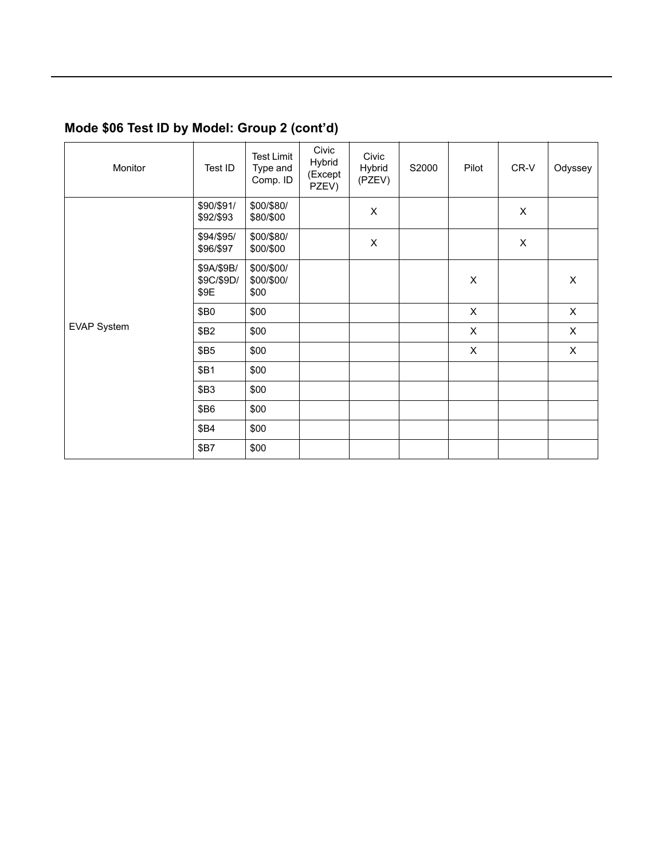### **Mode \$06 Test ID by Model: Group 2 (contíd)**

| Monitor     | Test ID                          | <b>Test Limit</b><br>Type and<br>Comp. ID | Civic<br>Hybrid<br>(Except<br>PZEV) | Civic<br>Hybrid<br>(PZEV) | S2000 | Pilot        | CR-V           | Odyssey        |
|-------------|----------------------------------|-------------------------------------------|-------------------------------------|---------------------------|-------|--------------|----------------|----------------|
|             | \$90/\$91/<br>\$92/\$93          | \$00/\$80/<br>\$80/\$00                   |                                     | $\mathsf X$               |       |              | X              |                |
|             | \$94/\$95/<br>\$96/\$97          | \$00/\$80/<br>\$00/\$00                   |                                     | $\pmb{\times}$            |       |              | $\pmb{\times}$ |                |
|             | \$9A/\$9B/<br>\$9C/\$9D/<br>\$9E | \$00/\$00/<br>\$00/\$00/<br>\$00          |                                     |                           |       | X            |                | X              |
|             | \$B0                             | \$00                                      |                                     |                           |       | $\mathsf{X}$ |                | $\pmb{\times}$ |
| EVAP System | \$B2                             | \$00                                      |                                     |                           |       | X            |                | X              |
|             | <b>\$B5</b>                      | \$00                                      |                                     |                           |       | $\mathsf{X}$ |                | $\pmb{\times}$ |
|             | <b>\$B1</b>                      | \$00                                      |                                     |                           |       |              |                |                |
|             | <b>\$B3</b>                      | \$00                                      |                                     |                           |       |              |                |                |
|             | \$B6                             | \$00                                      |                                     |                           |       |              |                |                |
|             | <b>\$B4</b>                      | \$00                                      |                                     |                           |       |              |                |                |
|             | <b>\$B7</b>                      | \$00                                      |                                     |                           |       |              |                |                |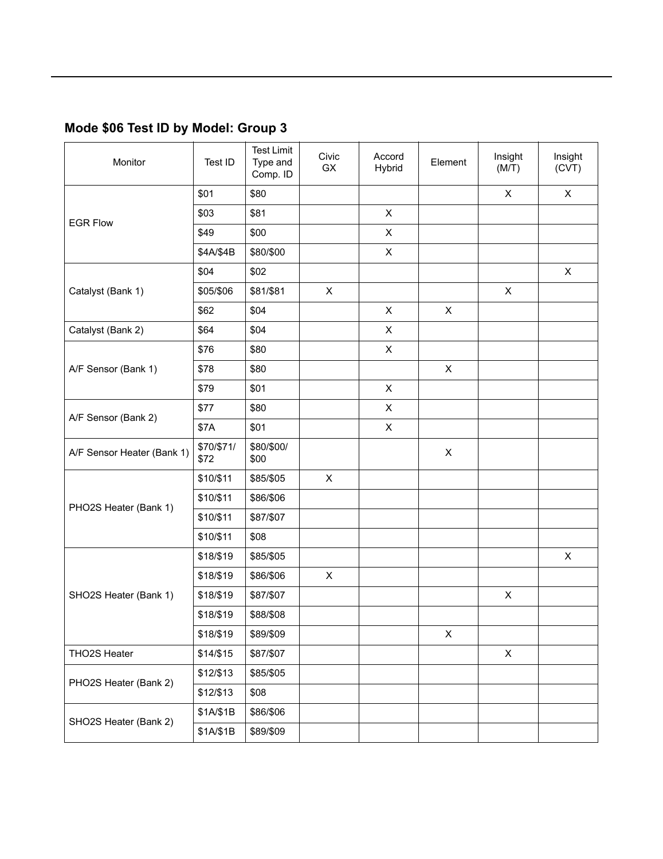### **Mode \$06 Test ID by Model: Group 3**

| Monitor                    | Test ID            | <b>Test Limit</b><br>Type and<br>Comp. ID | Civic<br>GX    | Accord<br>Hybrid | Element                   | Insight<br>(M/T) | Insight<br>(CVT) |
|----------------------------|--------------------|-------------------------------------------|----------------|------------------|---------------------------|------------------|------------------|
|                            | \$01               | \$80                                      |                |                  |                           | X                | X                |
| <b>EGR Flow</b>            | \$03               | \$81                                      |                | $\mathsf{X}$     |                           |                  |                  |
|                            | \$49               | \$00                                      |                | X                |                           |                  |                  |
|                            | \$4A/\$4B          | \$80/\$00                                 |                | $\mathsf{X}$     |                           |                  |                  |
|                            | \$04               | \$02                                      |                |                  |                           |                  | X                |
| Catalyst (Bank 1)          | \$05/\$06          | \$81/\$81                                 | $\pmb{\times}$ |                  |                           | X                |                  |
|                            | \$62               | \$04                                      |                | $\mathsf{X}$     | $\mathsf{X}$              |                  |                  |
| Catalyst (Bank 2)          | \$64               | \$04                                      |                | X                |                           |                  |                  |
|                            | \$76               | \$80                                      |                | $\mathsf{X}$     |                           |                  |                  |
| A/F Sensor (Bank 1)        | \$78               | \$80                                      |                |                  | X                         |                  |                  |
|                            | \$79               | \$01                                      |                | $\mathsf{X}$     |                           |                  |                  |
| A/F Sensor (Bank 2)        | \$77               | \$80                                      |                | X                |                           |                  |                  |
|                            | \$7A               | \$01                                      |                | X                |                           |                  |                  |
| A/F Sensor Heater (Bank 1) | \$70/\$71/<br>\$72 | \$80/\$00/<br>\$00                        |                |                  | $\boldsymbol{\mathsf{X}}$ |                  |                  |
|                            | \$10/\$11          | \$85/\$05                                 | X              |                  |                           |                  |                  |
|                            | \$10/\$11          | \$86/\$06                                 |                |                  |                           |                  |                  |
| PHO2S Heater (Bank 1)      | \$10/\$11          | \$87/\$07                                 |                |                  |                           |                  |                  |
|                            | \$10/\$11          | \$08                                      |                |                  |                           |                  |                  |
|                            | \$18/\$19          | \$85/\$05                                 |                |                  |                           |                  | X                |
|                            | \$18/\$19          | \$86/\$06                                 | X              |                  |                           |                  |                  |
| SHO2S Heater (Bank 1)      | \$18/\$19          | \$87/\$07                                 |                |                  |                           | X                |                  |
|                            | \$18/\$19          | \$88/\$08                                 |                |                  |                           |                  |                  |
|                            | \$18/\$19          | \$89/\$09                                 |                |                  | X                         |                  |                  |
| THO2S Heater               | \$14/\$15          | \$87/\$07                                 |                |                  |                           | X                |                  |
|                            | \$12/\$13          | \$85/\$05                                 |                |                  |                           |                  |                  |
| PHO2S Heater (Bank 2)      | \$12/\$13          | \$08                                      |                |                  |                           |                  |                  |
|                            | \$1A/\$1B          | \$86/\$06                                 |                |                  |                           |                  |                  |
| SHO2S Heater (Bank 2)      | \$1A/\$1B          | \$89/\$09                                 |                |                  |                           |                  |                  |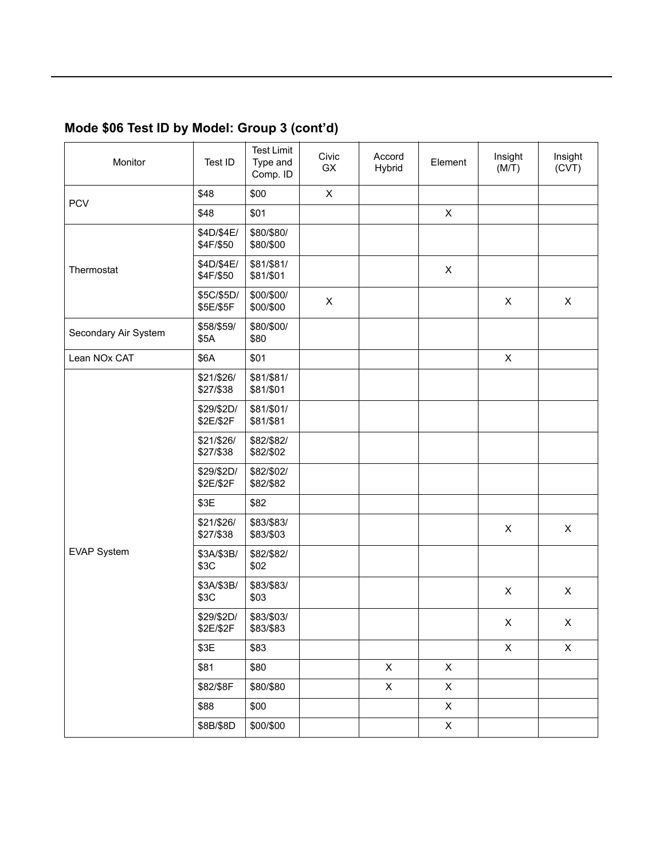## **Mode \$06 Test ID by Model: Group 3 (contíd)**

| Monitor              | Test ID                 | <b>Test Limit</b><br>Type and<br>Comp. ID | Civic<br>GX    | Accord<br>Hybrid | Element                   | Insight<br>(M/T) | Insight<br>(CVT) |
|----------------------|-------------------------|-------------------------------------------|----------------|------------------|---------------------------|------------------|------------------|
| <b>PCV</b>           | \$48                    | \$00                                      | $\pmb{\times}$ |                  |                           |                  |                  |
|                      | \$48                    | \$01                                      |                |                  | $\mathsf X$               |                  |                  |
|                      | \$4D/\$4E/<br>\$4F/\$50 | \$80/\$80/<br>\$80/\$00                   |                |                  |                           |                  |                  |
| Thermostat           | \$4D/\$4E/<br>\$4F/\$50 | \$81/\$81/<br>\$81/\$01                   |                |                  | X                         |                  |                  |
|                      | \$5C/\$5D/<br>\$5E/\$5F | \$00/\$00/<br>\$00/\$00                   | X              |                  |                           | X                | X                |
| Secondary Air System | \$58/\$59/<br>\$5A      | \$80/\$00/<br>\$80                        |                |                  |                           |                  |                  |
| Lean NOx CAT         | \$6A                    | \$01                                      |                |                  |                           | $\pmb{\times}$   |                  |
|                      | \$21/\$26/<br>\$27/\$38 | \$81/\$81/<br>\$81/\$01                   |                |                  |                           |                  |                  |
|                      | \$29/\$2D/<br>\$2E/\$2F | \$81/\$01/<br>\$81/\$81                   |                |                  |                           |                  |                  |
|                      | \$21/\$26/<br>\$27/\$38 | \$82/\$82/<br>\$82/\$02                   |                |                  |                           |                  |                  |
|                      | \$29/\$2D/<br>\$2E/\$2F | \$82/\$02/<br>\$82/\$82                   |                |                  |                           |                  |                  |
|                      | \$3E                    | \$82                                      |                |                  |                           |                  |                  |
|                      | \$21/\$26/<br>\$27/\$38 | \$83/\$83/<br>\$83/\$03                   |                |                  |                           | X                | X                |
| <b>EVAP System</b>   | \$3A/\$3B/<br>\$3C      | \$82/\$82/<br>\$02                        |                |                  |                           |                  |                  |
|                      | \$3A/\$3B/<br>\$3C      | \$83/\$83/<br>\$03                        |                |                  |                           | X                | X                |
|                      | \$29/\$2D/<br>\$2E/\$2F | \$83/\$03/<br>\$83/\$83                   |                |                  |                           | X                | $\mathsf X$      |
|                      | \$3E                    | \$83                                      |                |                  |                           | $\mathsf X$      | $\mathsf X$      |
|                      | \$81                    | \$80                                      |                | $\mathsf{X}$     | $\mathsf{X}$              |                  |                  |
|                      | \$82/\$8F               | \$80/\$80                                 |                | $\mathsf X$      | X                         |                  |                  |
|                      | \$88                    | \$00                                      |                |                  | $\mathsf{X}$              |                  |                  |
|                      | \$8B/\$8D               | \$00/\$00                                 |                |                  | $\boldsymbol{\mathsf{X}}$ |                  |                  |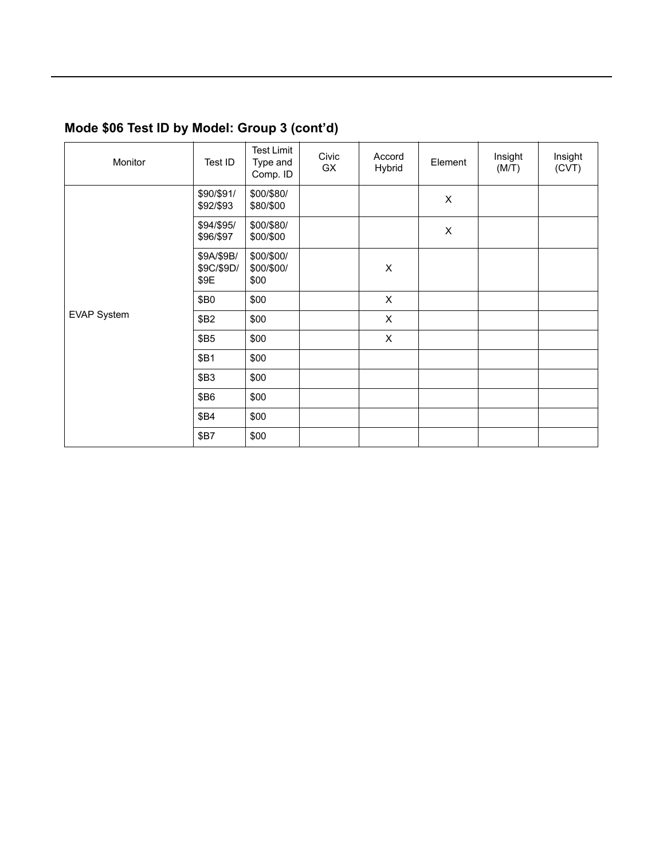### **Mode \$06 Test ID by Model: Group 3 (contíd)**

| Monitor     | Test ID                          | <b>Test Limit</b><br>Type and<br>Comp. ID | Civic<br>GX | Accord<br>Hybrid | Element                   | Insight<br>(M/T) | Insight<br>(CVT) |
|-------------|----------------------------------|-------------------------------------------|-------------|------------------|---------------------------|------------------|------------------|
|             | \$90/\$91/<br>\$92/\$93          | \$00/\$80/<br>\$80/\$00                   |             |                  | X                         |                  |                  |
|             | \$94/\$95/<br>\$96/\$97          | \$00/\$80/<br>\$00/\$00                   |             |                  | $\boldsymbol{\mathsf{X}}$ |                  |                  |
|             | \$9A/\$9B/<br>\$9C/\$9D/<br>\$9E | \$00/\$00/<br>\$00/\$00/<br>\$00          |             | $\pmb{\times}$   |                           |                  |                  |
|             | \$B0                             | \$00                                      |             | $\pmb{\times}$   |                           |                  |                  |
| EVAP System | \$B2                             | \$00                                      |             | $\pmb{\times}$   |                           |                  |                  |
|             | \$B5                             | \$00                                      |             | $\mathsf{X}$     |                           |                  |                  |
|             | \$B1                             | \$00                                      |             |                  |                           |                  |                  |
|             | \$B3                             | \$00                                      |             |                  |                           |                  |                  |
|             | \$B6                             | \$00                                      |             |                  |                           |                  |                  |
|             | \$B4                             | \$00                                      |             |                  |                           |                  |                  |
|             | \$B7                             | \$00                                      |             |                  |                           |                  |                  |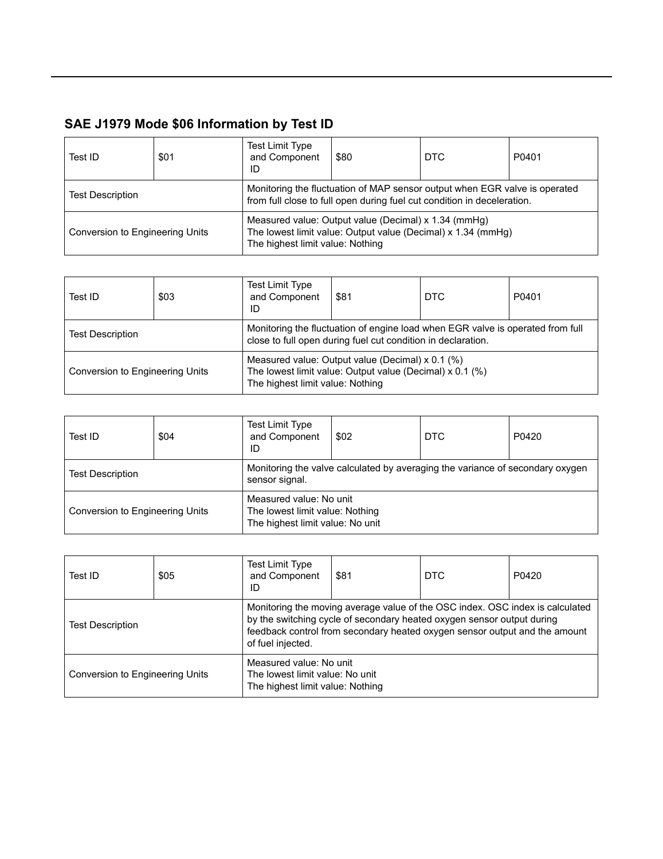| Test ID                                | \$01 | <b>Test Limit Type</b><br>and Component<br>ID                                                                                                         | \$80                                                 | DTC                                                          | P0401 |  |  |
|----------------------------------------|------|-------------------------------------------------------------------------------------------------------------------------------------------------------|------------------------------------------------------|--------------------------------------------------------------|-------|--|--|
| <b>Test Description</b>                |      | Monitoring the fluctuation of MAP sensor output when EGR valve is operated<br>from full close to full open during fuel cut condition in deceleration. |                                                      |                                                              |       |  |  |
| <b>Conversion to Engineering Units</b> |      | The highest limit value: Nothing                                                                                                                      | Measured value: Output value (Decimal) x 1.34 (mmHg) | The lowest limit value: Output value (Decimal) x 1.34 (mmHg) |       |  |  |

| Test ID                         | \$03 | Test Limit Type<br>and Component<br>ID                                                                                                           | \$81 | <b>DTC</b> | P0401 |  |  |
|---------------------------------|------|--------------------------------------------------------------------------------------------------------------------------------------------------|------|------------|-------|--|--|
| <b>Test Description</b>         |      | Monitoring the fluctuation of engine load when EGR valve is operated from full<br>close to full open during fuel cut condition in declaration.   |      |            |       |  |  |
| Conversion to Engineering Units |      | Measured value: Output value (Decimal) x 0.1 (%)<br>The lowest limit value: Output value (Decimal) x 0.1 (%)<br>The highest limit value: Nothing |      |            |       |  |  |

| Test ID                         | \$04 | <b>Test Limit Type</b><br>and Component<br>ID                                                   | \$02 | DTC | P0420 |  |  |  |
|---------------------------------|------|-------------------------------------------------------------------------------------------------|------|-----|-------|--|--|--|
| <b>Test Description</b>         |      | Monitoring the valve calculated by averaging the variance of secondary oxygen<br>sensor signal. |      |     |       |  |  |  |
| Conversion to Engineering Units |      | Measured value: No unit<br>The lowest limit value: Nothing<br>The highest limit value: No unit  |      |     |       |  |  |  |

| Test ID                         | \$05 | <b>Test Limit Type</b><br>and Component<br>ID                                                  | \$81 | <b>DTC</b>                                                                                                                                                                                                                            | P0420 |
|---------------------------------|------|------------------------------------------------------------------------------------------------|------|---------------------------------------------------------------------------------------------------------------------------------------------------------------------------------------------------------------------------------------|-------|
| <b>Test Description</b>         |      | of fuel injected.                                                                              |      | Monitoring the moving average value of the OSC index. OSC index is calculated<br>by the switching cycle of secondary heated oxygen sensor output during<br>feedback control from secondary heated oxygen sensor output and the amount |       |
| Conversion to Engineering Units |      | Measured value: No unit<br>The lowest limit value: No unit<br>The highest limit value: Nothing |      |                                                                                                                                                                                                                                       |       |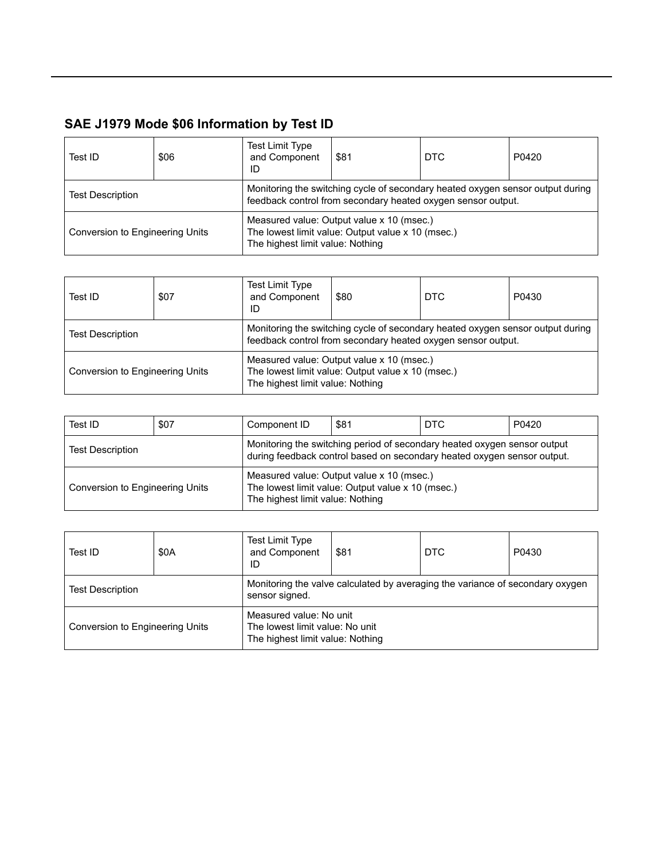| Test ID                                                                                                                                                                   | \$06 | Test Limit Type<br>and Component<br>ID | \$81                                                                                           | <b>DTC</b> | P0420 |
|---------------------------------------------------------------------------------------------------------------------------------------------------------------------------|------|----------------------------------------|------------------------------------------------------------------------------------------------|------------|-------|
| Monitoring the switching cycle of secondary heated oxygen sensor output during<br><b>Test Description</b><br>feedback control from secondary heated oxygen sensor output. |      |                                        |                                                                                                |            |       |
| Conversion to Engineering Units                                                                                                                                           |      | The highest limit value: Nothing       | Measured value: Output value x 10 (msec.)<br>The lowest limit value: Output value x 10 (msec.) |            |       |

| Test ID                         | \$07 | <b>Test Limit Type</b><br>and Component<br>ID                                                                                                  | \$80                                                                                           | <b>DTC</b> | P0430 |  |
|---------------------------------|------|------------------------------------------------------------------------------------------------------------------------------------------------|------------------------------------------------------------------------------------------------|------------|-------|--|
| <b>Test Description</b>         |      | Monitoring the switching cycle of secondary heated oxygen sensor output during<br>feedback control from secondary heated oxygen sensor output. |                                                                                                |            |       |  |
| Conversion to Engineering Units |      | The highest limit value: Nothing                                                                                                               | Measured value: Output value x 10 (msec.)<br>The lowest limit value: Output value x 10 (msec.) |            |       |  |

| Test ID                         | \$07 | Component ID                                                                                                                                        | \$81                                                                                           | I DTC | P0420 |
|---------------------------------|------|-----------------------------------------------------------------------------------------------------------------------------------------------------|------------------------------------------------------------------------------------------------|-------|-------|
| <b>Test Description</b>         |      | Monitoring the switching period of secondary heated oxygen sensor output<br>during feedback control based on secondary heated oxygen sensor output. |                                                                                                |       |       |
| Conversion to Engineering Units |      | The highest limit value: Nothing                                                                                                                    | Measured value: Output value x 10 (msec.)<br>The lowest limit value: Output value x 10 (msec.) |       |       |

| Test ID                         | \$0A | <b>Test Limit Type</b><br>and Component<br>ID                                                   | \$81 | <b>DTC</b> | P0430 |  |
|---------------------------------|------|-------------------------------------------------------------------------------------------------|------|------------|-------|--|
| <b>Test Description</b>         |      | Monitoring the valve calculated by averaging the variance of secondary oxygen<br>sensor signed. |      |            |       |  |
| Conversion to Engineering Units |      | Measured value: No unit<br>The lowest limit value: No unit<br>The highest limit value: Nothing  |      |            |       |  |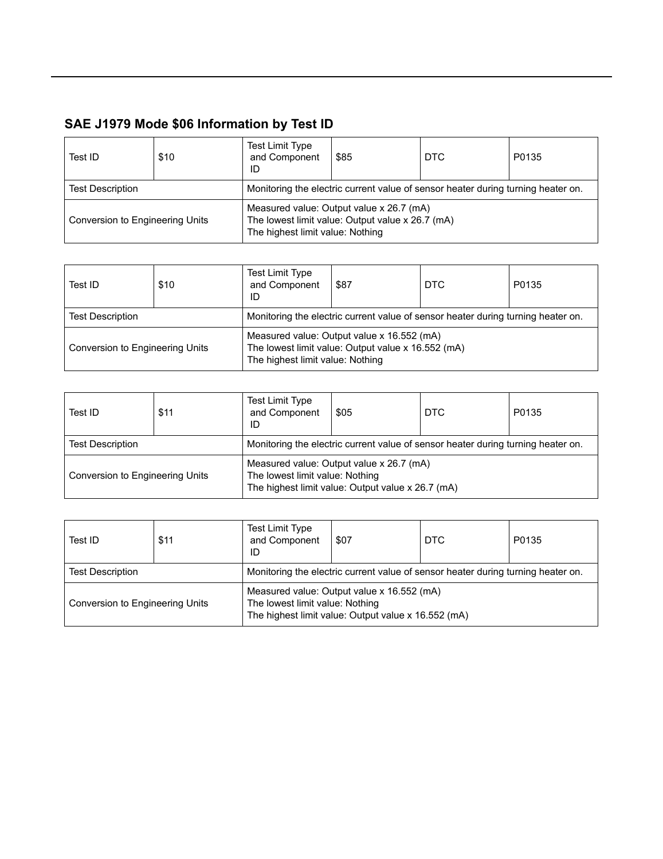| Test ID                         | \$10 | <b>Test Limit Type</b><br>and Component<br>ID | \$85                                                                                         | DTC | P0135 |  |  |  |
|---------------------------------|------|-----------------------------------------------|----------------------------------------------------------------------------------------------|-----|-------|--|--|--|
| <b>Test Description</b>         |      |                                               | Monitoring the electric current value of sensor heater during turning heater on.             |     |       |  |  |  |
| Conversion to Engineering Units |      | The highest limit value: Nothing              | Measured value: Output value x 26.7 (mA)<br>The lowest limit value: Output value x 26.7 (mA) |     |       |  |  |  |

| Test ID                         | \$10 | <b>Test Limit Type</b><br>and Component<br>ID                                    | \$87                                                                                             | <b>DTC</b> | P0135 |  |  |
|---------------------------------|------|----------------------------------------------------------------------------------|--------------------------------------------------------------------------------------------------|------------|-------|--|--|
| <b>Test Description</b>         |      | Monitoring the electric current value of sensor heater during turning heater on. |                                                                                                  |            |       |  |  |
| Conversion to Engineering Units |      | The highest limit value: Nothing                                                 | Measured value: Output value x 16.552 (mA)<br>The lowest limit value: Output value x 16.552 (mA) |            |       |  |  |

| Test ID                         | \$11 | Test Limit Type<br>and Component<br>ID                                           | \$05                                                                                          | DTC | P0135 |  |  |
|---------------------------------|------|----------------------------------------------------------------------------------|-----------------------------------------------------------------------------------------------|-----|-------|--|--|
| <b>Test Description</b>         |      | Monitoring the electric current value of sensor heater during turning heater on. |                                                                                               |     |       |  |  |
| Conversion to Engineering Units |      | The lowest limit value: Nothing                                                  | Measured value: Output value x 26.7 (mA)<br>The highest limit value: Output value x 26.7 (mA) |     |       |  |  |

| Test ID                         | \$11 | <b>Test Limit Type</b><br>and Component<br>ID                                    | \$07                                                                                              | DTC | P0135 |  |  |
|---------------------------------|------|----------------------------------------------------------------------------------|---------------------------------------------------------------------------------------------------|-----|-------|--|--|
| <b>Test Description</b>         |      | Monitoring the electric current value of sensor heater during turning heater on. |                                                                                                   |     |       |  |  |
| Conversion to Engineering Units |      | The lowest limit value: Nothing                                                  | Measured value: Output value x 16.552 (mA)<br>The highest limit value: Output value x 16.552 (mA) |     |       |  |  |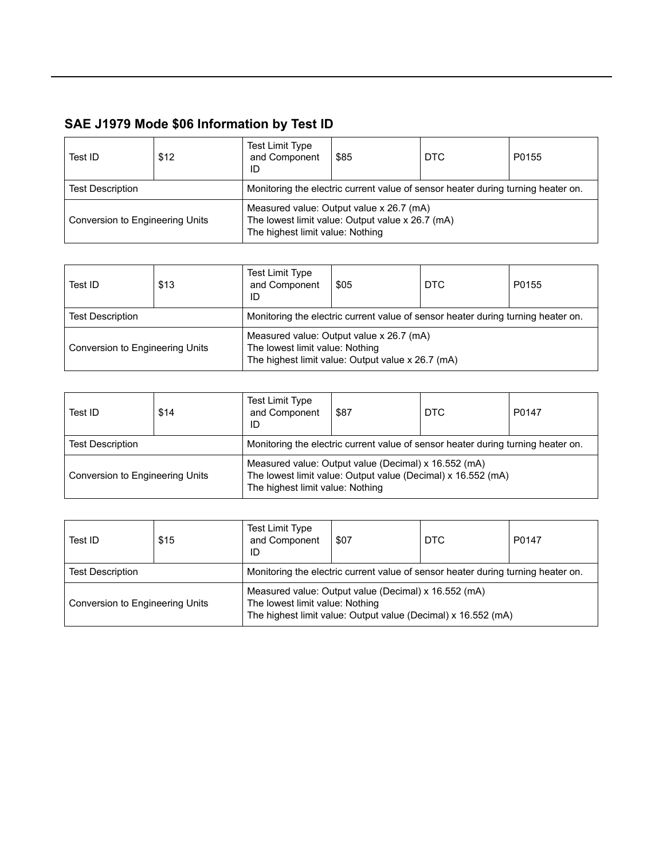| Test ID                         | \$12 | <b>Test Limit Type</b><br>and Component<br>ID                                    | \$85                                                                                         | DTC | P0155 |  |  |
|---------------------------------|------|----------------------------------------------------------------------------------|----------------------------------------------------------------------------------------------|-----|-------|--|--|
| <b>Test Description</b>         |      | Monitoring the electric current value of sensor heater during turning heater on. |                                                                                              |     |       |  |  |
| Conversion to Engineering Units |      | The highest limit value: Nothing                                                 | Measured value: Output value x 26.7 (mA)<br>The lowest limit value: Output value x 26.7 (mA) |     |       |  |  |

| Test ID                         | \$13 | Test Limit Type<br>and Component<br>ID | \$05                                                                                          | <b>DTC</b> | P0155 |  |  |  |
|---------------------------------|------|----------------------------------------|-----------------------------------------------------------------------------------------------|------------|-------|--|--|--|
| <b>Test Description</b>         |      |                                        | Monitoring the electric current value of sensor heater during turning heater on.              |            |       |  |  |  |
| Conversion to Engineering Units |      | The lowest limit value: Nothing        | Measured value: Output value x 26.7 (mA)<br>The highest limit value: Output value x 26.7 (mA) |            |       |  |  |  |

| Test ID                         | \$14 | Test Limit Type<br>and Component<br>ID                                           | \$87                                                 | DTC                                                          | P0147 |  |  |
|---------------------------------|------|----------------------------------------------------------------------------------|------------------------------------------------------|--------------------------------------------------------------|-------|--|--|
| <b>Test Description</b>         |      | Monitoring the electric current value of sensor heater during turning heater on. |                                                      |                                                              |       |  |  |
| Conversion to Engineering Units |      | The highest limit value: Nothing                                                 | Measured value: Output value (Decimal) x 16.552 (mA) | The lowest limit value: Output value (Decimal) x 16.552 (mA) |       |  |  |

| Test ID                                                                                                                                                                                     | \$15                                                                             | <b>Test Limit Type</b><br>and Component<br>ID | \$07 | DTC | P0147 |
|---------------------------------------------------------------------------------------------------------------------------------------------------------------------------------------------|----------------------------------------------------------------------------------|-----------------------------------------------|------|-----|-------|
| <b>Test Description</b>                                                                                                                                                                     | Monitoring the electric current value of sensor heater during turning heater on. |                                               |      |     |       |
| Measured value: Output value (Decimal) x 16.552 (mA)<br>The lowest limit value: Nothing<br>Conversion to Engineering Units<br>The highest limit value: Output value (Decimal) x 16.552 (mA) |                                                                                  |                                               |      |     |       |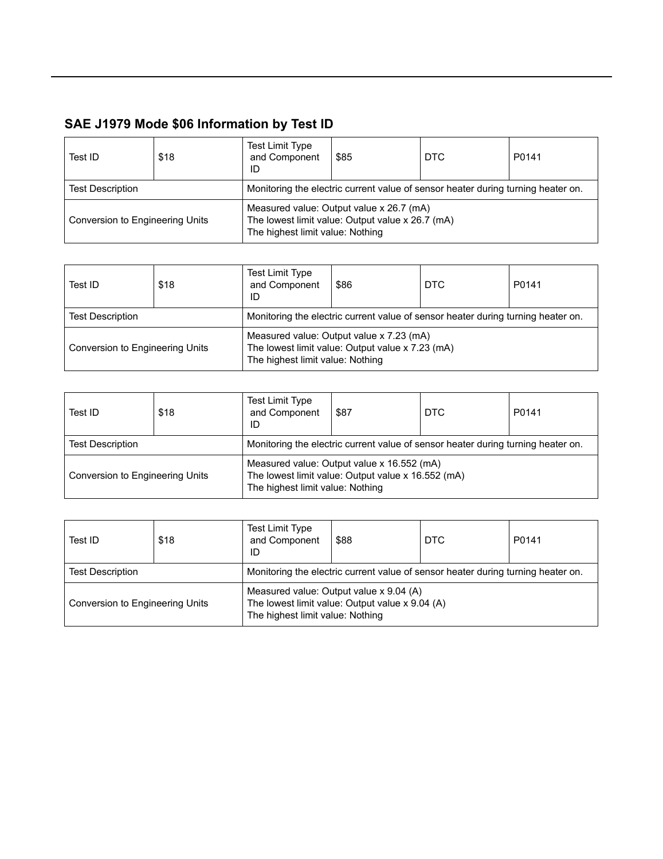| Test ID                         | \$18 | Test Limit Type<br>and Component<br>ID                                           | \$85                                                                                                                             | DTC | P0141 |  |
|---------------------------------|------|----------------------------------------------------------------------------------|----------------------------------------------------------------------------------------------------------------------------------|-----|-------|--|
| <b>Test Description</b>         |      | Monitoring the electric current value of sensor heater during turning heater on. |                                                                                                                                  |     |       |  |
| Conversion to Engineering Units |      |                                                                                  | Measured value: Output value x 26.7 (mA)<br>The lowest limit value: Output value x 26.7 (mA)<br>The highest limit value: Nothing |     |       |  |

| Test ID                                                                                                                                                             | \$18                                                                             | <b>Test Limit Type</b><br>and Component<br>ID | \$86 | <b>DTC</b> | P0141 |
|---------------------------------------------------------------------------------------------------------------------------------------------------------------------|----------------------------------------------------------------------------------|-----------------------------------------------|------|------------|-------|
| <b>Test Description</b>                                                                                                                                             | Monitoring the electric current value of sensor heater during turning heater on. |                                               |      |            |       |
| Measured value: Output value x 7.23 (mA)<br>The lowest limit value: Output value x 7.23 (mA)<br>Conversion to Engineering Units<br>The highest limit value: Nothing |                                                                                  |                                               |      |            |       |

| Test ID                         | \$18 | Test Limit Type<br>and Component<br>ID                                           | \$87                                                                                                                                 | DTC | P0141 |  |
|---------------------------------|------|----------------------------------------------------------------------------------|--------------------------------------------------------------------------------------------------------------------------------------|-----|-------|--|
| <b>Test Description</b>         |      | Monitoring the electric current value of sensor heater during turning heater on. |                                                                                                                                      |     |       |  |
| Conversion to Engineering Units |      |                                                                                  | Measured value: Output value x 16.552 (mA)<br>The lowest limit value: Output value x 16.552 (mA)<br>The highest limit value: Nothing |     |       |  |

| Test ID                                                                                                                                                           | \$18                                                                             | Test Limit Type<br>and Component<br>ID | \$88 | DTC | P0141 |
|-------------------------------------------------------------------------------------------------------------------------------------------------------------------|----------------------------------------------------------------------------------|----------------------------------------|------|-----|-------|
| <b>Test Description</b>                                                                                                                                           | Monitoring the electric current value of sensor heater during turning heater on. |                                        |      |     |       |
| Measured value: Output value x 9.04 (A)<br>The lowest limit value: Output value x 9.04 (A)<br>Conversion to Engineering Units<br>The highest limit value: Nothing |                                                                                  |                                        |      |     |       |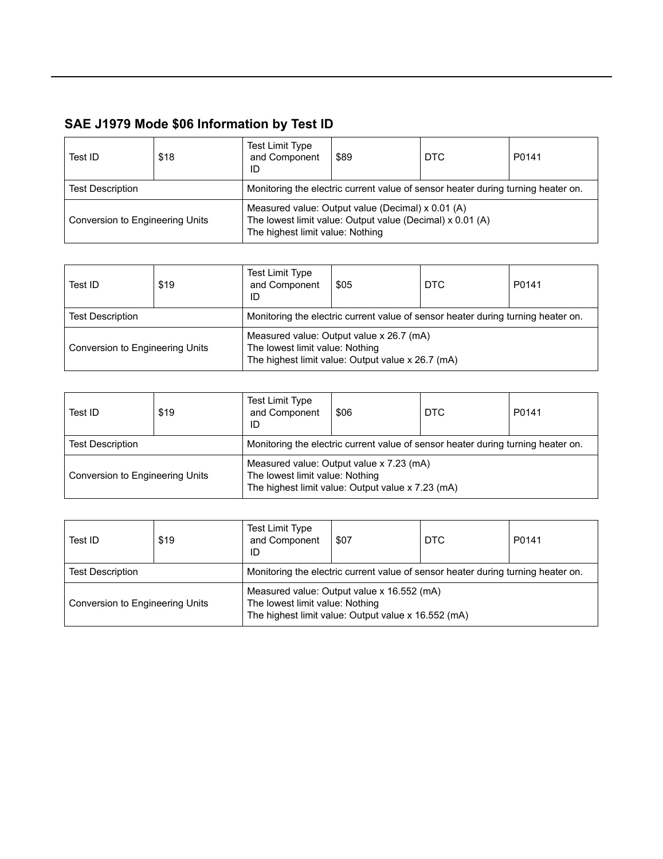| Test ID                         | \$18 | <b>Test Limit Type</b><br>and Component<br>ID                                    | \$89                                                                                                                                               | DTC | P0141 |
|---------------------------------|------|----------------------------------------------------------------------------------|----------------------------------------------------------------------------------------------------------------------------------------------------|-----|-------|
| <b>Test Description</b>         |      | Monitoring the electric current value of sensor heater during turning heater on. |                                                                                                                                                    |     |       |
| Conversion to Engineering Units |      |                                                                                  | Measured value: Output value (Decimal) x 0.01 (A)<br>The lowest limit value: Output value (Decimal) x 0.01 (A)<br>The highest limit value: Nothing |     |       |

| Test ID                         | \$19 | Test Limit Type<br>and Component<br>ID                                                                                           | \$05 | <b>DTC</b> | P0141 |
|---------------------------------|------|----------------------------------------------------------------------------------------------------------------------------------|------|------------|-------|
| <b>Test Description</b>         |      | Monitoring the electric current value of sensor heater during turning heater on.                                                 |      |            |       |
| Conversion to Engineering Units |      | Measured value: Output value x 26.7 (mA)<br>The lowest limit value: Nothing<br>The highest limit value: Output value x 26.7 (mA) |      |            |       |

| Test ID                         | \$19                                                                             | <b>Test Limit Type</b><br>and Component<br>ID | \$06                                                                                          | DTC | P0141 |
|---------------------------------|----------------------------------------------------------------------------------|-----------------------------------------------|-----------------------------------------------------------------------------------------------|-----|-------|
| <b>Test Description</b>         | Monitoring the electric current value of sensor heater during turning heater on. |                                               |                                                                                               |     |       |
| Conversion to Engineering Units |                                                                                  | The lowest limit value: Nothing               | Measured value: Output value x 7.23 (mA)<br>The highest limit value: Output value x 7.23 (mA) |     |       |

| Test ID                                                                                                                                                                 | \$19 | Test Limit Type<br>and Component<br>ID                                           | \$07 | DTC. | P0141 |
|-------------------------------------------------------------------------------------------------------------------------------------------------------------------------|------|----------------------------------------------------------------------------------|------|------|-------|
| <b>Test Description</b>                                                                                                                                                 |      | Monitoring the electric current value of sensor heater during turning heater on. |      |      |       |
| Measured value: Output value x 16.552 (mA)<br>The lowest limit value: Nothing<br>Conversion to Engineering Units<br>The highest limit value: Output value x 16.552 (mA) |      |                                                                                  |      |      |       |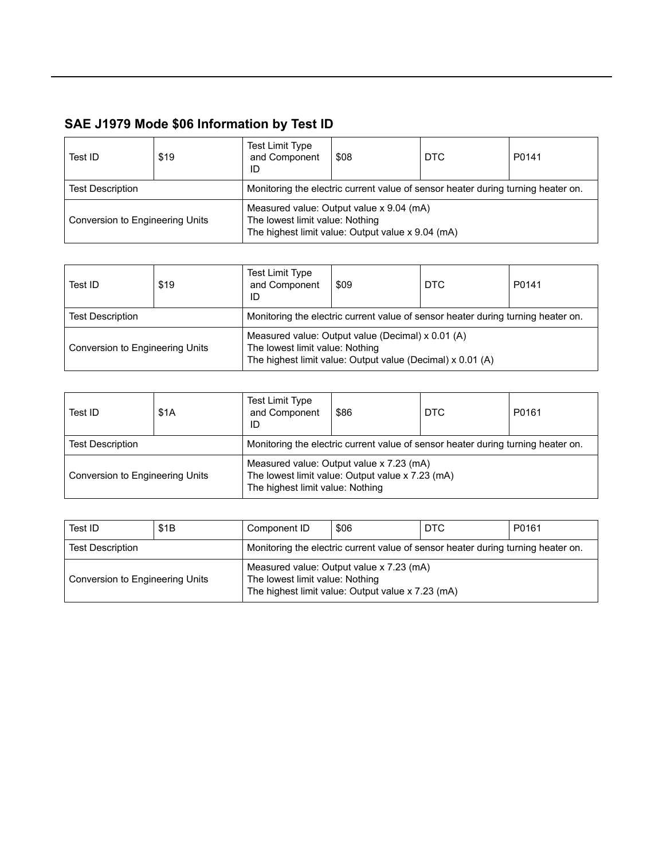| Test ID                         | \$19 | Test Limit Type<br>and Component<br>ID                                           | \$08                                                                                                                             | DTC | P0141 |  |
|---------------------------------|------|----------------------------------------------------------------------------------|----------------------------------------------------------------------------------------------------------------------------------|-----|-------|--|
| <b>Test Description</b>         |      | Monitoring the electric current value of sensor heater during turning heater on. |                                                                                                                                  |     |       |  |
| Conversion to Engineering Units |      |                                                                                  | Measured value: Output value x 9.04 (mA)<br>The lowest limit value: Nothing<br>The highest limit value: Output value x 9.04 (mA) |     |       |  |

| Test ID                                                                                                                                                                               | \$19 | <b>Test Limit Type</b><br>and Component<br>ID                                    | \$09 | <b>DTC</b> | P0141 |
|---------------------------------------------------------------------------------------------------------------------------------------------------------------------------------------|------|----------------------------------------------------------------------------------|------|------------|-------|
| <b>Test Description</b>                                                                                                                                                               |      | Monitoring the electric current value of sensor heater during turning heater on. |      |            |       |
| Measured value: Output value (Decimal) x 0.01 (A)<br>The lowest limit value: Nothing<br>Conversion to Engineering Units<br>The highest limit value: Output value (Decimal) x 0.01 (A) |      |                                                                                  |      |            |       |

| Test ID                                                                                                                                                             | \$1A | <b>Test Limit Type</b><br>and Component<br>ID                                    | \$86 | DTC | P0161 |
|---------------------------------------------------------------------------------------------------------------------------------------------------------------------|------|----------------------------------------------------------------------------------|------|-----|-------|
| <b>Test Description</b>                                                                                                                                             |      | Monitoring the electric current value of sensor heater during turning heater on. |      |     |       |
| Measured value: Output value x 7.23 (mA)<br>The lowest limit value: Output value x 7.23 (mA)<br>Conversion to Engineering Units<br>The highest limit value: Nothing |      |                                                                                  |      |     |       |

| Test ID                         | \$1B | Component ID                                                                     | \$06                                                                                          | DTC | P0161 |
|---------------------------------|------|----------------------------------------------------------------------------------|-----------------------------------------------------------------------------------------------|-----|-------|
| <b>Test Description</b>         |      | Monitoring the electric current value of sensor heater during turning heater on. |                                                                                               |     |       |
| Conversion to Engineering Units |      | The lowest limit value: Nothing                                                  | Measured value: Output value x 7.23 (mA)<br>The highest limit value: Output value x 7.23 (mA) |     |       |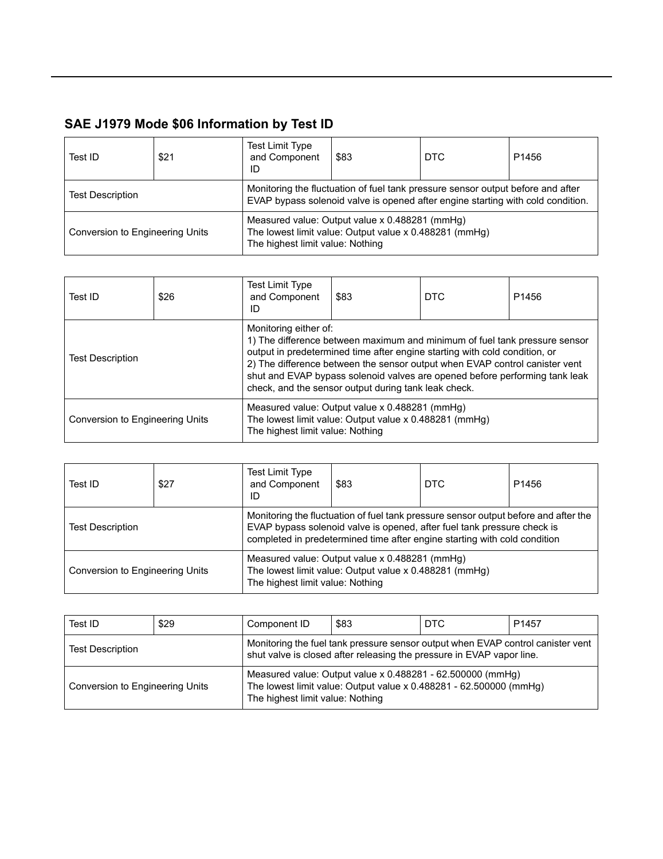| Test ID                                                             | \$21 | <b>Test Limit Type</b><br>and Component<br>ID                                                            | \$83                                                                                                                                                               | DTC | P <sub>1456</sub> |
|---------------------------------------------------------------------|------|----------------------------------------------------------------------------------------------------------|--------------------------------------------------------------------------------------------------------------------------------------------------------------------|-----|-------------------|
| <b>Test Description</b>                                             |      |                                                                                                          | Monitoring the fluctuation of fuel tank pressure sensor output before and after<br>EVAP bypass solenoid valve is opened after engine starting with cold condition. |     |                   |
| Conversion to Engineering Units<br>The highest limit value: Nothing |      | Measured value: Output value x 0.488281 (mmHq)<br>The lowest limit value: Output value x 0.488281 (mmHg) |                                                                                                                                                                    |     |                   |

| Test ID                                                             | \$26                                                                                                                                                                                                                                                                                                                                                                                                    | Test Limit Type<br>and Component<br>ID                                                                   | \$83 | DTC | P <sub>1456</sub> |
|---------------------------------------------------------------------|---------------------------------------------------------------------------------------------------------------------------------------------------------------------------------------------------------------------------------------------------------------------------------------------------------------------------------------------------------------------------------------------------------|----------------------------------------------------------------------------------------------------------|------|-----|-------------------|
| <b>Test Description</b>                                             | Monitoring either of:<br>1) The difference between maximum and minimum of fuel tank pressure sensor<br>output in predetermined time after engine starting with cold condition, or<br>2) The difference between the sensor output when EVAP control canister vent<br>shut and EVAP bypass solenoid valves are opened before performing tank leak<br>check, and the sensor output during tank leak check. |                                                                                                          |      |     |                   |
| Conversion to Engineering Units<br>The highest limit value: Nothing |                                                                                                                                                                                                                                                                                                                                                                                                         | Measured value: Output value x 0.488281 (mmHg)<br>The lowest limit value: Output value x 0.488281 (mmHg) |      |     |                   |

| Test ID                         | \$27 | <b>Test Limit Type</b><br>and Component<br>ID                                                                                                                                                                                               | \$83                                                                                                     | DTC | P <sub>1456</sub> |
|---------------------------------|------|---------------------------------------------------------------------------------------------------------------------------------------------------------------------------------------------------------------------------------------------|----------------------------------------------------------------------------------------------------------|-----|-------------------|
| <b>Test Description</b>         |      | Monitoring the fluctuation of fuel tank pressure sensor output before and after the<br>EVAP bypass solenoid valve is opened, after fuel tank pressure check is<br>completed in predetermined time after engine starting with cold condition |                                                                                                          |     |                   |
| Conversion to Engineering Units |      | The highest limit value: Nothing                                                                                                                                                                                                            | Measured value: Output value x 0.488281 (mmHg)<br>The lowest limit value: Output value x 0.488281 (mmHg) |     |                   |

| Test ID                         | \$29 | Component ID                     | \$83                                                                                                                                                     | <b>DTC</b> | P <sub>1457</sub> |  |
|---------------------------------|------|----------------------------------|----------------------------------------------------------------------------------------------------------------------------------------------------------|------------|-------------------|--|
| <b>Test Description</b>         |      |                                  | Monitoring the fuel tank pressure sensor output when EVAP control canister vent<br>shut valve is closed after releasing the pressure in EVAP vapor line. |            |                   |  |
| Conversion to Engineering Units |      | The highest limit value: Nothing | Measured value: Output value x 0.488281 - 62.500000 (mmHg)<br>The lowest limit value: Output value x 0.488281 - 62.500000 (mmHg)                         |            |                   |  |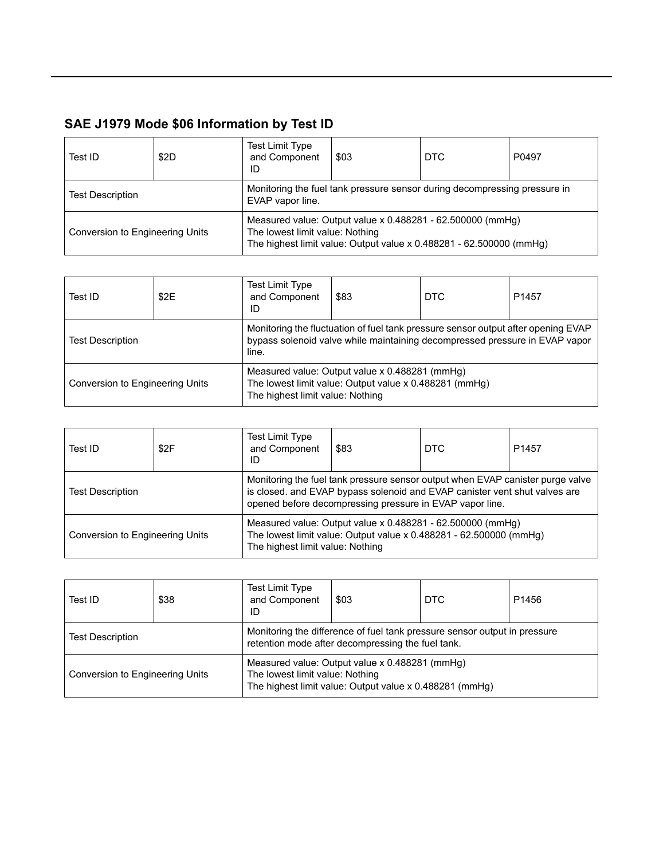| Test ID                         | \$2D | <b>Test Limit Type</b><br>and Component<br>ID                                                                                                                        | \$03 | DTC | P0497 |  |
|---------------------------------|------|----------------------------------------------------------------------------------------------------------------------------------------------------------------------|------|-----|-------|--|
| <b>Test Description</b>         |      | Monitoring the fuel tank pressure sensor during decompressing pressure in<br>EVAP vapor line.                                                                        |      |     |       |  |
| Conversion to Engineering Units |      | Measured value: Output value x 0.488281 - 62.500000 (mmHg)<br>The lowest limit value: Nothing<br>The highest limit value: Output value x 0.488281 - 62.500000 (mmHg) |      |     |       |  |

| Test ID                         | \$2E | <b>Test Limit Type</b><br>and Component<br>ID                                                                                                | \$83                                                                                                                                                             | <b>DTC</b> | P <sub>1457</sub> |  |
|---------------------------------|------|----------------------------------------------------------------------------------------------------------------------------------------------|------------------------------------------------------------------------------------------------------------------------------------------------------------------|------------|-------------------|--|
| <b>Test Description</b>         |      | line.                                                                                                                                        | Monitoring the fluctuation of fuel tank pressure sensor output after opening EVAP<br>bypass solenoid valve while maintaining decompressed pressure in EVAP vapor |            |                   |  |
| Conversion to Engineering Units |      | Measured value: Output value x 0.488281 (mmHg)<br>The lowest limit value: Output value x 0.488281 (mmHg)<br>The highest limit value: Nothing |                                                                                                                                                                  |            |                   |  |

| Test ID                         | \$2F | <b>Test Limit Type</b><br>and Component<br>ID | \$83                                                                                                                                                                                                                     | <b>DTC</b>                                                                                                                       | P <sub>1457</sub> |
|---------------------------------|------|-----------------------------------------------|--------------------------------------------------------------------------------------------------------------------------------------------------------------------------------------------------------------------------|----------------------------------------------------------------------------------------------------------------------------------|-------------------|
| <b>Test Description</b>         |      |                                               | Monitoring the fuel tank pressure sensor output when EVAP canister purge valve<br>is closed. and EVAP bypass solenoid and EVAP canister vent shut valves are<br>opened before decompressing pressure in EVAP vapor line. |                                                                                                                                  |                   |
| Conversion to Engineering Units |      | The highest limit value: Nothing              |                                                                                                                                                                                                                          | Measured value: Output value x 0.488281 - 62.500000 (mmHg)<br>The lowest limit value: Output value x 0.488281 - 62.500000 (mmHg) |                   |

| Test ID                         | \$38                                                                                                                           | <b>Test Limit Type</b><br>and Component<br>ID                                                                                                | \$03 | <b>DTC</b> | P <sub>1456</sub> |  |
|---------------------------------|--------------------------------------------------------------------------------------------------------------------------------|----------------------------------------------------------------------------------------------------------------------------------------------|------|------------|-------------------|--|
| <b>Test Description</b>         | Monitoring the difference of fuel tank pressure sensor output in pressure<br>retention mode after decompressing the fuel tank. |                                                                                                                                              |      |            |                   |  |
| Conversion to Engineering Units |                                                                                                                                | Measured value: Output value x 0.488281 (mmHg)<br>The lowest limit value: Nothing<br>The highest limit value: Output value x 0.488281 (mmHg) |      |            |                   |  |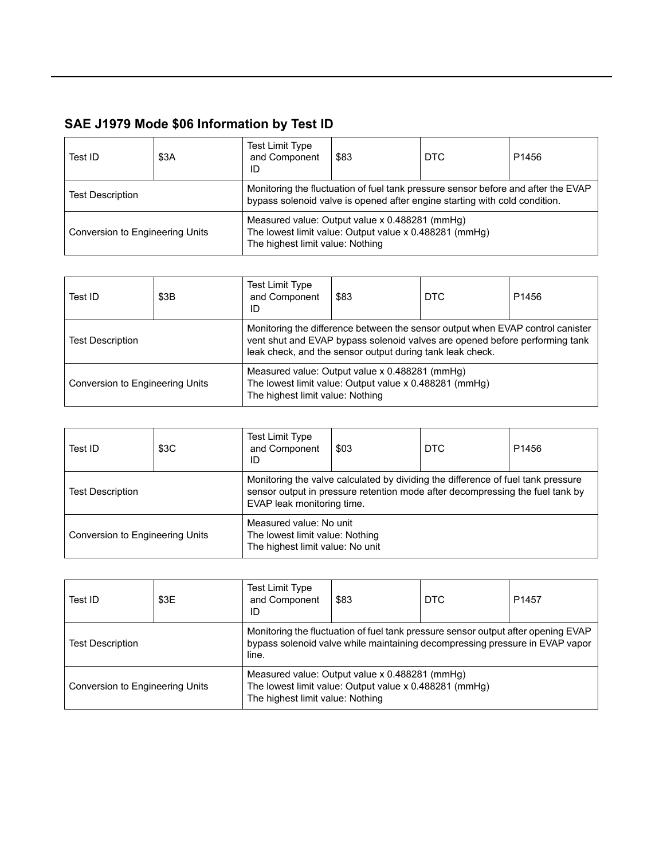| Test ID                         | \$3A | <b>Test Limit Type</b><br>and Component<br>ID | \$83                                                                                                                                                            | DTC | P <sub>1456</sub> |
|---------------------------------|------|-----------------------------------------------|-----------------------------------------------------------------------------------------------------------------------------------------------------------------|-----|-------------------|
| <b>Test Description</b>         |      |                                               | Monitoring the fluctuation of fuel tank pressure sensor before and after the EVAP<br>bypass solenoid valve is opened after engine starting with cold condition. |     |                   |
| Conversion to Engineering Units |      | The highest limit value: Nothing              | Measured value: Output value x 0.488281 (mmHg)<br>The lowest limit value: Output value x 0.488281 (mmHg)                                                        |     |                   |

| Test ID                         | \$3B | <b>Test Limit Type</b><br>and Component<br>ID                                                                                                                                                                              | \$83                                                                                                     | <b>DTC</b> | P <sub>1456</sub> |
|---------------------------------|------|----------------------------------------------------------------------------------------------------------------------------------------------------------------------------------------------------------------------------|----------------------------------------------------------------------------------------------------------|------------|-------------------|
| <b>Test Description</b>         |      | Monitoring the difference between the sensor output when EVAP control canister<br>vent shut and EVAP bypass solenoid valves are opened before performing tank<br>leak check, and the sensor output during tank leak check. |                                                                                                          |            |                   |
| Conversion to Engineering Units |      | The highest limit value: Nothing                                                                                                                                                                                           | Measured value: Output value x 0.488281 (mmHg)<br>The lowest limit value: Output value x 0.488281 (mmHg) |            |                   |

| Test ID                         | \$3C | <b>Test Limit Type</b><br>and Component<br>ID                                                  | \$03                                                                                                                                                              | <b>DTC</b> | P <sub>1456</sub> |
|---------------------------------|------|------------------------------------------------------------------------------------------------|-------------------------------------------------------------------------------------------------------------------------------------------------------------------|------------|-------------------|
| <b>Test Description</b>         |      | EVAP leak monitoring time.                                                                     | Monitoring the valve calculated by dividing the difference of fuel tank pressure<br>sensor output in pressure retention mode after decompressing the fuel tank by |            |                   |
| Conversion to Engineering Units |      | Measured value: No unit<br>The lowest limit value: Nothing<br>The highest limit value: No unit |                                                                                                                                                                   |            |                   |

| Test ID                         | \$3E | <b>Test Limit Type</b><br>and Component<br>ID | \$83                                                                                                                                                              | <b>DTC</b> | P <sub>1457</sub> |  |
|---------------------------------|------|-----------------------------------------------|-------------------------------------------------------------------------------------------------------------------------------------------------------------------|------------|-------------------|--|
| <b>Test Description</b>         |      | line.                                         | Monitoring the fluctuation of fuel tank pressure sensor output after opening EVAP<br>bypass solenoid valve while maintaining decompressing pressure in EVAP vapor |            |                   |  |
| Conversion to Engineering Units |      | The highest limit value: Nothing              | Measured value: Output value x 0.488281 (mmHg)<br>The lowest limit value: Output value x 0.488281 (mmHg)                                                          |            |                   |  |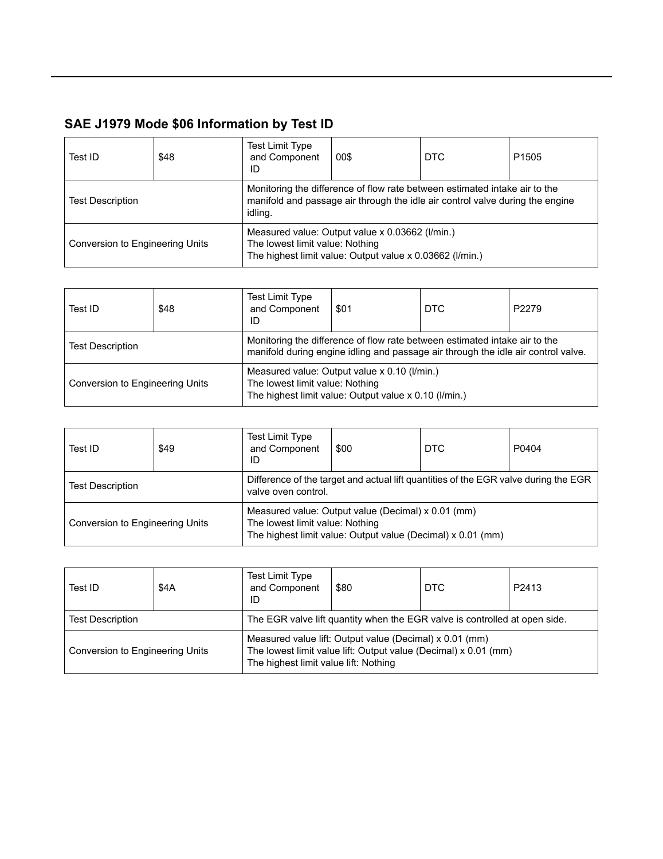| Test ID                         | \$48 | Test Limit Type<br>and Component<br>ID | 00\$                                                                                                                                                        | <b>DTC</b> | P <sub>1505</sub> |
|---------------------------------|------|----------------------------------------|-------------------------------------------------------------------------------------------------------------------------------------------------------------|------------|-------------------|
| <b>Test Description</b>         |      | idling.                                | Monitoring the difference of flow rate between estimated intake air to the<br>manifold and passage air through the idle air control valve during the engine |            |                   |
| Conversion to Engineering Units |      | The lowest limit value: Nothing        | Measured value: Output value x 0.03662 (I/min.)<br>The highest limit value: Output value x 0.03662 (I/min.)                                                 |            |                   |

| Test ID                         | \$48 | <b>Test Limit Type</b><br>and Component<br>ID | \$01                                                                                                                                                            | DTC | P2279 |
|---------------------------------|------|-----------------------------------------------|-----------------------------------------------------------------------------------------------------------------------------------------------------------------|-----|-------|
| <b>Test Description</b>         |      |                                               | Monitoring the difference of flow rate between estimated intake air to the<br>manifold during engine idling and passage air through the idle air control valve. |     |       |
| Conversion to Engineering Units |      | The lowest limit value: Nothing               | Measured value: Output value x 0.10 (I/min.)<br>The highest limit value: Output value x 0.10 (I/min.)                                                           |     |       |

| Test ID                         | \$49 | <b>Test Limit Type</b><br>and Component<br>ID | \$00                                                                                                              | <b>DTC</b> | P0404 |
|---------------------------------|------|-----------------------------------------------|-------------------------------------------------------------------------------------------------------------------|------------|-------|
| <b>Test Description</b>         |      | valve oven control.                           | Difference of the target and actual lift quantities of the EGR valve during the EGR                               |            |       |
| Conversion to Engineering Units |      | The lowest limit value: Nothing               | Measured value: Output value (Decimal) x 0.01 (mm)<br>The highest limit value: Output value (Decimal) x 0.01 (mm) |            |       |

| Test ID                                                                                               | \$4A | <b>Test Limit Type</b><br>and Component<br>ID | \$80                                                    | DTC                                                             | P2413 |
|-------------------------------------------------------------------------------------------------------|------|-----------------------------------------------|---------------------------------------------------------|-----------------------------------------------------------------|-------|
| The EGR valve lift quantity when the EGR valve is controlled at open side.<br><b>Test Description</b> |      |                                               |                                                         |                                                                 |       |
| Conversion to Engineering Units                                                                       |      | The highest limit value lift: Nothing         | Measured value lift: Output value (Decimal) x 0.01 (mm) | The lowest limit value lift: Output value (Decimal) x 0.01 (mm) |       |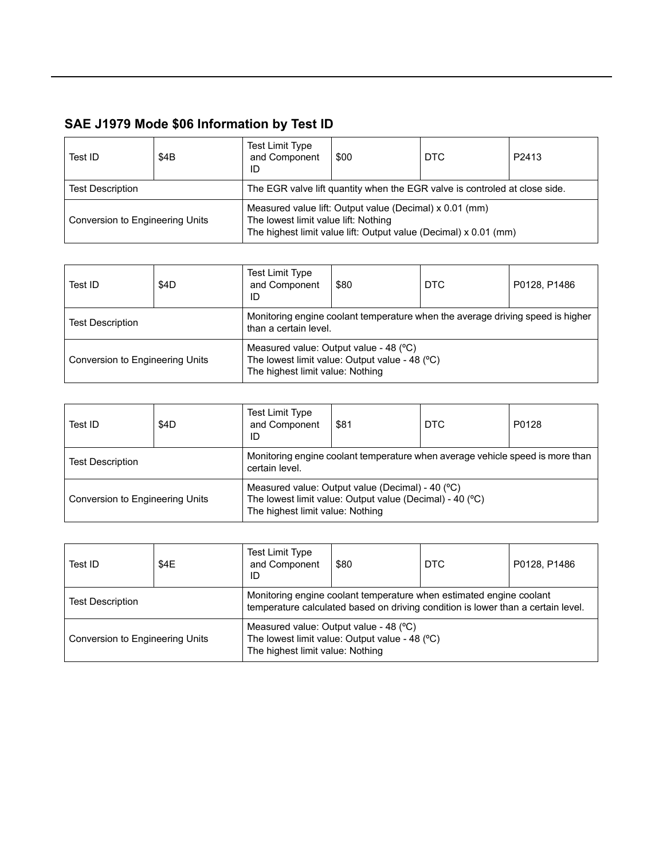| Test ID                                                                                               | \$4B | Test Limit Type<br>and Component<br>ID | \$00                                                    | DTC                                                              | P2413 |
|-------------------------------------------------------------------------------------------------------|------|----------------------------------------|---------------------------------------------------------|------------------------------------------------------------------|-------|
| <b>Test Description</b><br>The EGR valve lift quantity when the EGR valve is controled at close side. |      |                                        |                                                         |                                                                  |       |
| Conversion to Engineering Units                                                                       |      | The lowest limit value lift: Nothing   | Measured value lift: Output value (Decimal) x 0.01 (mm) | The highest limit value lift: Output value (Decimal) x 0.01 (mm) |       |

| Test ID                         | \$4D | Test Limit Type<br>and Component<br>ID                                                                  | \$80                                                                                     | DTC | P0128, P1486 |
|---------------------------------|------|---------------------------------------------------------------------------------------------------------|------------------------------------------------------------------------------------------|-----|--------------|
| <b>Test Description</b>         |      | Monitoring engine coolant temperature when the average driving speed is higher<br>than a certain level. |                                                                                          |     |              |
| Conversion to Engineering Units |      | The highest limit value: Nothing                                                                        | Measured value: Output value - 48 (°C)<br>The lowest limit value: Output value - 48 (°C) |     |              |

| Test ID                         | \$4D | <b>Test Limit Type</b><br>and Component<br>ID | \$81                                                                                                         | <b>DTC</b> | P0128 |
|---------------------------------|------|-----------------------------------------------|--------------------------------------------------------------------------------------------------------------|------------|-------|
| <b>Test Description</b>         |      | certain level.                                | Monitoring engine coolant temperature when average vehicle speed is more than                                |            |       |
| Conversion to Engineering Units |      | The highest limit value: Nothing              | Measured value: Output value (Decimal) - 40 (°C)<br>The lowest limit value: Output value (Decimal) - 40 (°C) |            |       |

| Test ID                         | \$4E | <b>Test Limit Type</b><br>and Component<br>ID                                                                                                           | \$80                                                                                     | <b>DTC</b> | P0128, P1486 |
|---------------------------------|------|---------------------------------------------------------------------------------------------------------------------------------------------------------|------------------------------------------------------------------------------------------|------------|--------------|
| <b>Test Description</b>         |      | Monitoring engine coolant temperature when estimated engine coolant<br>temperature calculated based on driving condition is lower than a certain level. |                                                                                          |            |              |
| Conversion to Engineering Units |      | The highest limit value: Nothing                                                                                                                        | Measured value: Output value - 48 (°C)<br>The lowest limit value: Output value - 48 (°C) |            |              |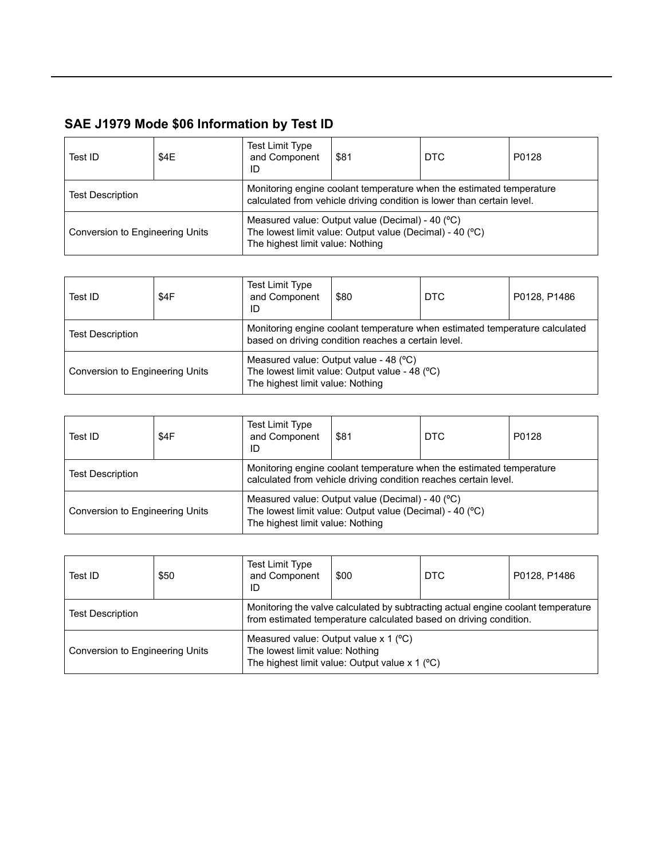| Test ID                         | \$4E | <b>Test Limit Type</b><br>and Component<br>ID | \$81                                                                                                                                           | DTC . | P0128 |
|---------------------------------|------|-----------------------------------------------|------------------------------------------------------------------------------------------------------------------------------------------------|-------|-------|
| <b>Test Description</b>         |      |                                               | Monitoring engine coolant temperature when the estimated temperature<br>calculated from vehicle driving condition is lower than certain level. |       |       |
| Conversion to Engineering Units |      | The highest limit value: Nothing              | Measured value: Output value (Decimal) - 40 (°C)<br>The lowest limit value: Output value (Decimal) - 40 (°C)                                   |       |       |

| Test ID                         | \$4F                                                                                                                               | <b>Test Limit Type</b><br>and Component<br>ID | \$80                                                                                     | <b>DTC</b> | P0128, P1486 |
|---------------------------------|------------------------------------------------------------------------------------------------------------------------------------|-----------------------------------------------|------------------------------------------------------------------------------------------|------------|--------------|
| <b>Test Description</b>         | Monitoring engine coolant temperature when estimated temperature calculated<br>based on driving condition reaches a certain level. |                                               |                                                                                          |            |              |
| Conversion to Engineering Units |                                                                                                                                    | The highest limit value: Nothing              | Measured value: Output value - 48 (°C)<br>The lowest limit value: Output value - 48 (°C) |            |              |

| Test ID                         | \$4F | Test Limit Type<br>and Component<br>ID | \$81                                                                                                                                     | <b>DTC</b> | P0128 |
|---------------------------------|------|----------------------------------------|------------------------------------------------------------------------------------------------------------------------------------------|------------|-------|
| <b>Test Description</b>         |      |                                        | Monitoring engine coolant temperature when the estimated temperature<br>calculated from vehicle driving condition reaches certain level. |            |       |
| Conversion to Engineering Units |      | The highest limit value: Nothing       | Measured value: Output value (Decimal) - 40 (°C)<br>The lowest limit value: Output value (Decimal) - 40 (°C)                             |            |       |

| Test ID                         | \$50 | Test Limit Type<br>and Component<br>ID                                                                                                              | \$00                                                                                                                                                  | <b>DTC</b> | P0128, P1486 |  |
|---------------------------------|------|-----------------------------------------------------------------------------------------------------------------------------------------------------|-------------------------------------------------------------------------------------------------------------------------------------------------------|------------|--------------|--|
| <b>Test Description</b>         |      |                                                                                                                                                     | Monitoring the valve calculated by subtracting actual engine coolant temperature<br>from estimated temperature calculated based on driving condition. |            |              |  |
| Conversion to Engineering Units |      | Measured value: Output value $x$ 1 ( $\degree$ C)<br>The lowest limit value: Nothing<br>The highest limit value: Output value $x$ 1 ( $^{\circ}$ C) |                                                                                                                                                       |            |              |  |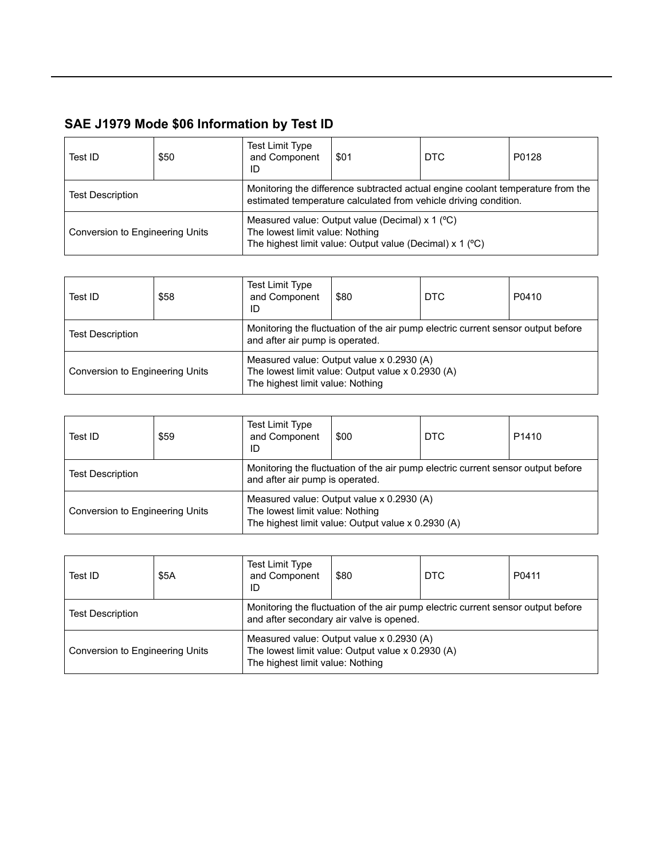| Test ID                         | \$50 | <b>Test Limit Type</b><br>and Component<br>ID                                                                                                    | \$01                                                                                                                                                | <b>DTC</b> | P0128 |  |  |
|---------------------------------|------|--------------------------------------------------------------------------------------------------------------------------------------------------|-----------------------------------------------------------------------------------------------------------------------------------------------------|------------|-------|--|--|
| <b>Test Description</b>         |      |                                                                                                                                                  | Monitoring the difference subtracted actual engine coolant temperature from the<br>estimated temperature calculated from vehicle driving condition. |            |       |  |  |
| Conversion to Engineering Units |      | Measured value: Output value (Decimal) $x$ 1 (°C)<br>The lowest limit value: Nothing<br>The highest limit value: Output value (Decimal) x 1 (°C) |                                                                                                                                                     |            |       |  |  |

| Test ID                         | \$58 | Test Limit Type<br>and Component<br>ID                                                                              | \$80                                                                                           | <b>DTC</b> | P0410 |
|---------------------------------|------|---------------------------------------------------------------------------------------------------------------------|------------------------------------------------------------------------------------------------|------------|-------|
| <b>Test Description</b>         |      | Monitoring the fluctuation of the air pump electric current sensor output before<br>and after air pump is operated. |                                                                                                |            |       |
| Conversion to Engineering Units |      | The highest limit value: Nothing                                                                                    | Measured value: Output value x 0.2930 (A)<br>The lowest limit value: Output value x 0.2930 (A) |            |       |

| Test ID                         | \$59 | <b>Test Limit Type</b><br>and Component<br>ID | \$00                                                                                                                | <b>DTC</b> | P <sub>1410</sub> |
|---------------------------------|------|-----------------------------------------------|---------------------------------------------------------------------------------------------------------------------|------------|-------------------|
| <b>Test Description</b>         |      |                                               | Monitoring the fluctuation of the air pump electric current sensor output before<br>and after air pump is operated. |            |                   |
| Conversion to Engineering Units |      | The lowest limit value: Nothing               | Measured value: Output value x 0.2930 (A)<br>The highest limit value: Output value x 0.2930 (A)                     |            |                   |

| Test ID                         | \$5A | <b>Test Limit Type</b><br>and Component<br>ID | \$80                                                                                                                         | DTC | P0411 |
|---------------------------------|------|-----------------------------------------------|------------------------------------------------------------------------------------------------------------------------------|-----|-------|
| <b>Test Description</b>         |      |                                               | Monitoring the fluctuation of the air pump electric current sensor output before<br>and after secondary air valve is opened. |     |       |
| Conversion to Engineering Units |      | The highest limit value: Nothing              | Measured value: Output value x 0.2930 (A)<br>The lowest limit value: Output value x 0.2930 (A)                               |     |       |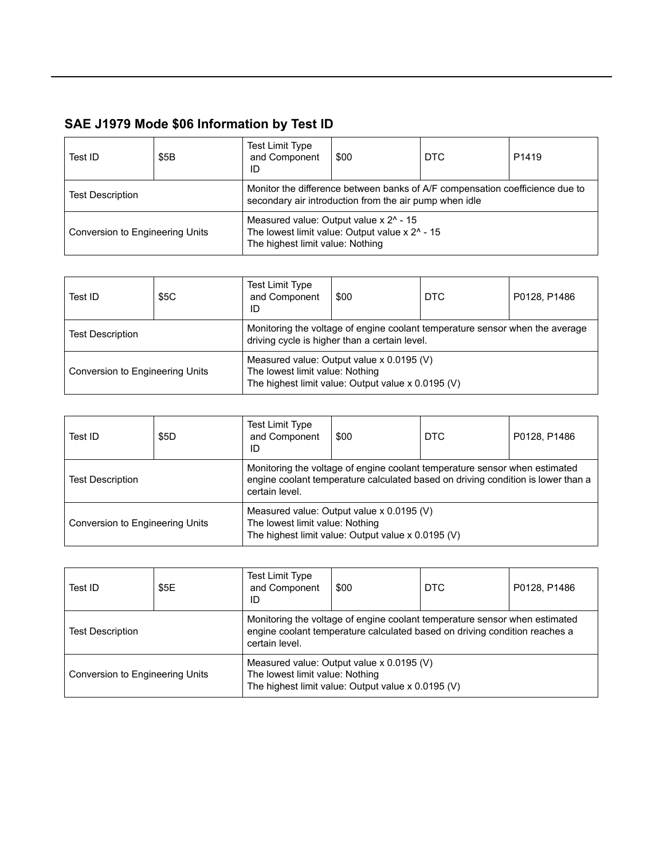| Test ID                         | \$5B | <b>Test Limit Type</b><br>and Component<br>ID | \$00                                                                                                                                   | DTC | P <sub>1419</sub> |
|---------------------------------|------|-----------------------------------------------|----------------------------------------------------------------------------------------------------------------------------------------|-----|-------------------|
| <b>Test Description</b>         |      |                                               | Monitor the difference between banks of A/F compensation coefficience due to<br>secondary air introduction from the air pump when idle |     |                   |
| Conversion to Engineering Units |      | The highest limit value: Nothing              | Measured value: Output value x 2 <sup>^</sup> - 15<br>The lowest limit value: Output value x 2^ - 15                                   |     |                   |

| Test ID                         | \$5C | <b>Test Limit Type</b><br>and Component<br>ID                                                                                      | \$00 | <b>DTC</b> | P0128, P1486 |  |
|---------------------------------|------|------------------------------------------------------------------------------------------------------------------------------------|------|------------|--------------|--|
| <b>Test Description</b>         |      | Monitoring the voltage of engine coolant temperature sensor when the average<br>driving cycle is higher than a certain level.      |      |            |              |  |
| Conversion to Engineering Units |      | Measured value: Output value x 0.0195 (V)<br>The lowest limit value: Nothing<br>The highest limit value: Output value x 0.0195 (V) |      |            |              |  |

| Test ID                         | \$5D | Test Limit Type<br>and Component<br>ID                                                                                             | \$00                                                                                                                                                           | DTC | P0128, P1486 |  |
|---------------------------------|------|------------------------------------------------------------------------------------------------------------------------------------|----------------------------------------------------------------------------------------------------------------------------------------------------------------|-----|--------------|--|
| <b>Test Description</b>         |      | certain level.                                                                                                                     | Monitoring the voltage of engine coolant temperature sensor when estimated<br>engine coolant temperature calculated based on driving condition is lower than a |     |              |  |
| Conversion to Engineering Units |      | Measured value: Output value x 0.0195 (V)<br>The lowest limit value: Nothing<br>The highest limit value: Output value x 0.0195 (V) |                                                                                                                                                                |     |              |  |

| Test ID                         | \$5E | <b>Test Limit Type</b><br>and Component<br>ID                                                                                      | \$00                                                                                                                                                     | <b>DTC</b> | P0128, P1486 |  |
|---------------------------------|------|------------------------------------------------------------------------------------------------------------------------------------|----------------------------------------------------------------------------------------------------------------------------------------------------------|------------|--------------|--|
| <b>Test Description</b>         |      | certain level.                                                                                                                     | Monitoring the voltage of engine coolant temperature sensor when estimated<br>engine coolant temperature calculated based on driving condition reaches a |            |              |  |
| Conversion to Engineering Units |      | Measured value: Output value x 0.0195 (V)<br>The lowest limit value: Nothing<br>The highest limit value: Output value x 0.0195 (V) |                                                                                                                                                          |            |              |  |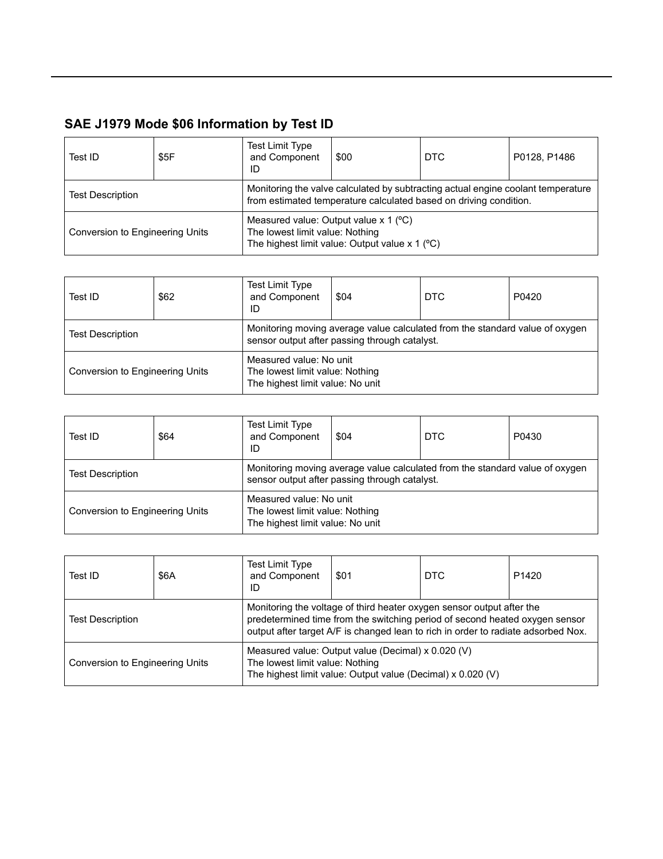| Test ID                         | \$5F | <b>Test Limit Type</b><br>and Component<br>ID                                                                                                      | \$00                                                                                                                                                  | DTC | P0128, P1486 |  |
|---------------------------------|------|----------------------------------------------------------------------------------------------------------------------------------------------------|-------------------------------------------------------------------------------------------------------------------------------------------------------|-----|--------------|--|
| <b>Test Description</b>         |      |                                                                                                                                                    | Monitoring the valve calculated by subtracting actual engine coolant temperature<br>from estimated temperature calculated based on driving condition. |     |              |  |
| Conversion to Engineering Units |      | Measured value: Output value $x$ 1 ( $\degree$ C)<br>The lowest limit value: Nothing<br>The highest limit value: Output value $x$ 1 ( $\degree$ C) |                                                                                                                                                       |     |              |  |

| Test ID                         | \$62 | <b>Test Limit Type</b><br>and Component<br>ID                                                  | \$04                                                                                                                          | <b>DTC</b> | P0420 |
|---------------------------------|------|------------------------------------------------------------------------------------------------|-------------------------------------------------------------------------------------------------------------------------------|------------|-------|
| <b>Test Description</b>         |      |                                                                                                | Monitoring moving average value calculated from the standard value of oxygen<br>sensor output after passing through catalyst. |            |       |
| Conversion to Engineering Units |      | Measured value: No unit<br>The lowest limit value: Nothing<br>The highest limit value: No unit |                                                                                                                               |            |       |

| Test ID                                                                                                                           | \$64 | <b>Test Limit Type</b><br>and Component<br>ID | \$04                                                                                                                          | <b>DTC</b> | P0430 |
|-----------------------------------------------------------------------------------------------------------------------------------|------|-----------------------------------------------|-------------------------------------------------------------------------------------------------------------------------------|------------|-------|
| <b>Test Description</b>                                                                                                           |      |                                               | Monitoring moving average value calculated from the standard value of oxygen<br>sensor output after passing through catalyst. |            |       |
| Measured value: No unit<br>The lowest limit value: Nothing<br>Conversion to Engineering Units<br>The highest limit value: No unit |      |                                               |                                                                                                                               |            |       |

| Test ID                         | \$6A | <b>Test Limit Type</b><br>and Component<br>ID | \$01                                                                                                                                                                                                                                      | DTC | P <sub>1420</sub> |  |
|---------------------------------|------|-----------------------------------------------|-------------------------------------------------------------------------------------------------------------------------------------------------------------------------------------------------------------------------------------------|-----|-------------------|--|
| <b>Test Description</b>         |      |                                               | Monitoring the voltage of third heater oxygen sensor output after the<br>predetermined time from the switching period of second heated oxygen sensor<br>output after target A/F is changed lean to rich in order to radiate adsorbed Nox. |     |                   |  |
| Conversion to Engineering Units |      | The lowest limit value: Nothing               | Measured value: Output value (Decimal) x 0.020 (V)<br>The highest limit value: Output value (Decimal) x 0.020 (V)                                                                                                                         |     |                   |  |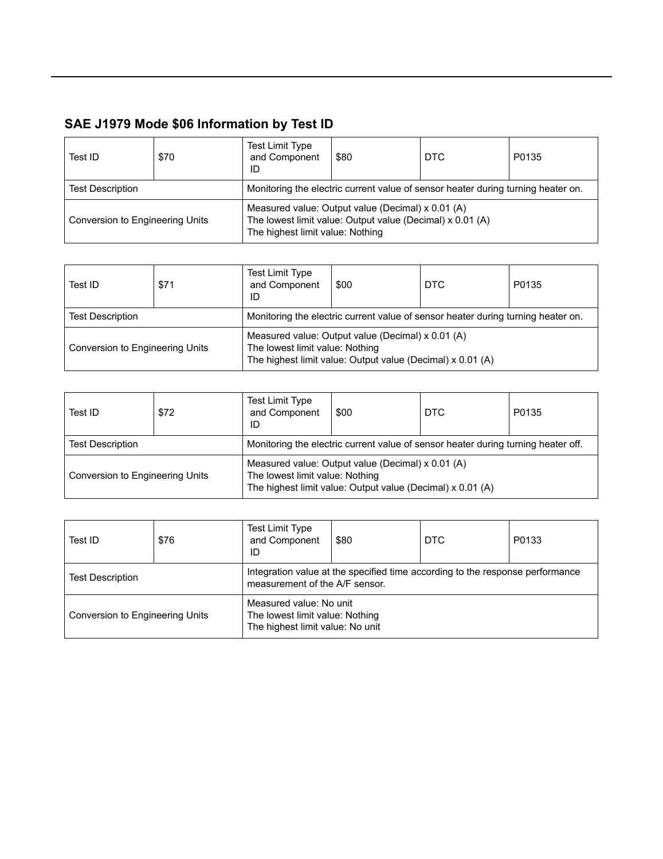| Test ID                         | \$70 | <b>Test Limit Type</b><br>and Component<br>ID | \$80                                                                                                           | DTC | P0135 |  |  |
|---------------------------------|------|-----------------------------------------------|----------------------------------------------------------------------------------------------------------------|-----|-------|--|--|
| <b>Test Description</b>         |      |                                               | Monitoring the electric current value of sensor heater during turning heater on.                               |     |       |  |  |
| Conversion to Engineering Units |      | The highest limit value: Nothing              | Measured value: Output value (Decimal) x 0.01 (A)<br>The lowest limit value: Output value (Decimal) x 0.01 (A) |     |       |  |  |

| Test ID                                                                                                     | \$71 | Test Limit Type<br>and Component<br>ID | \$00                                                                                                            | <b>DTC</b> | P0135 |
|-------------------------------------------------------------------------------------------------------------|------|----------------------------------------|-----------------------------------------------------------------------------------------------------------------|------------|-------|
| Monitoring the electric current value of sensor heater during turning heater on.<br><b>Test Description</b> |      |                                        |                                                                                                                 |            |       |
| Conversion to Engineering Units                                                                             |      | The lowest limit value: Nothing        | Measured value: Output value (Decimal) x 0.01 (A)<br>The highest limit value: Output value (Decimal) x 0.01 (A) |            |       |

| Test ID                         | \$72 | <b>Test Limit Type</b><br>and Component<br>ID | \$00                                                                                                            | DTC | P0135 |  |  |  |
|---------------------------------|------|-----------------------------------------------|-----------------------------------------------------------------------------------------------------------------|-----|-------|--|--|--|
| <b>Test Description</b>         |      |                                               | Monitoring the electric current value of sensor heater during turning heater off.                               |     |       |  |  |  |
| Conversion to Engineering Units |      | The lowest limit value: Nothing               | Measured value: Output value (Decimal) x 0.01 (A)<br>The highest limit value: Output value (Decimal) x 0.01 (A) |     |       |  |  |  |

| Test ID                         | \$76 | Test Limit Type<br>and Component<br>ID                                                         | \$80                                                                                                            | DTC | P0133 |
|---------------------------------|------|------------------------------------------------------------------------------------------------|-----------------------------------------------------------------------------------------------------------------|-----|-------|
| <b>Test Description</b>         |      |                                                                                                | Integration value at the specified time according to the response performance<br>measurement of the A/F sensor. |     |       |
| Conversion to Engineering Units |      | Measured value: No unit<br>The lowest limit value: Nothing<br>The highest limit value: No unit |                                                                                                                 |     |       |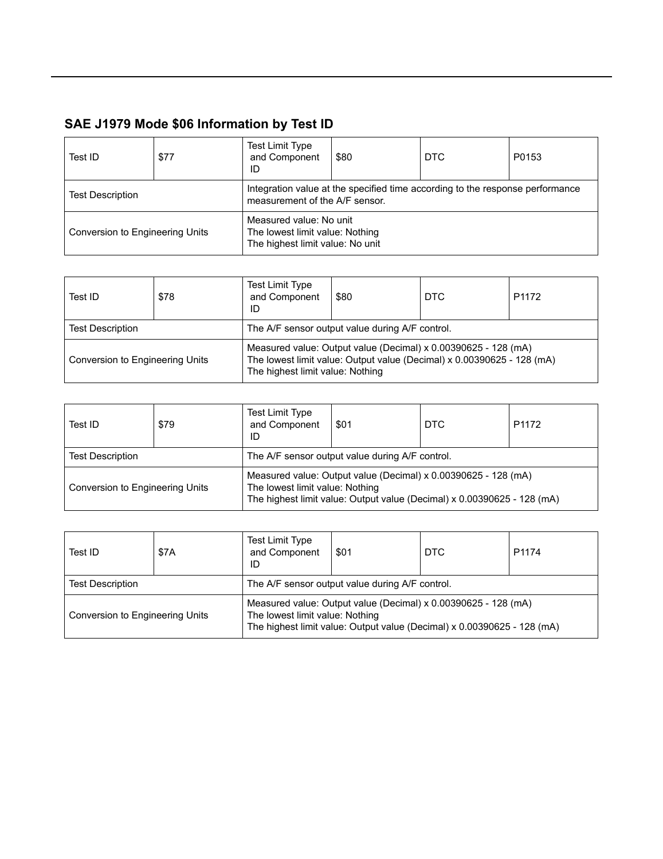| Test ID                         | \$77 | <b>Test Limit Type</b><br>and Component<br>ID                                                  | \$80                                                                                                            | DTC | P0153 |
|---------------------------------|------|------------------------------------------------------------------------------------------------|-----------------------------------------------------------------------------------------------------------------|-----|-------|
| <b>Test Description</b>         |      |                                                                                                | Integration value at the specified time according to the response performance<br>measurement of the A/F sensor. |     |       |
| Conversion to Engineering Units |      | Measured value: No unit<br>The lowest limit value: Nothing<br>The highest limit value: No unit |                                                                                                                 |     |       |

| Test ID                         | \$78 | <b>Test Limit Type</b><br>and Component<br>ID | \$80                                                                                                                                     | <b>DTC</b> | P <sub>1172</sub> |  |  |  |
|---------------------------------|------|-----------------------------------------------|------------------------------------------------------------------------------------------------------------------------------------------|------------|-------------------|--|--|--|
| <b>Test Description</b>         |      |                                               | The A/F sensor output value during A/F control.                                                                                          |            |                   |  |  |  |
| Conversion to Engineering Units |      | The highest limit value: Nothing              | Measured value: Output value (Decimal) x 0.00390625 - 128 (mA)<br>The lowest limit value: Output value (Decimal) x 0.00390625 - 128 (mA) |            |                   |  |  |  |

| Test ID                         | \$79                                            | <b>Test Limit Type</b><br>and Component<br>ID | \$01                                                                                                                                                                         | <b>DTC</b> | P <sub>1172</sub> |  |  |
|---------------------------------|-------------------------------------------------|-----------------------------------------------|------------------------------------------------------------------------------------------------------------------------------------------------------------------------------|------------|-------------------|--|--|
| <b>Test Description</b>         | The A/F sensor output value during A/F control. |                                               |                                                                                                                                                                              |            |                   |  |  |
| Conversion to Engineering Units |                                                 |                                               | Measured value: Output value (Decimal) x 0.00390625 - 128 (mA)<br>The lowest limit value: Nothing<br>The highest limit value: Output value (Decimal) x 0.00390625 - 128 (mA) |            |                   |  |  |

| Test ID                         | \$7A                                            | Test Limit Type<br>and Component<br>ID | \$01                                                                                                                                      | DTC | P1174 |
|---------------------------------|-------------------------------------------------|----------------------------------------|-------------------------------------------------------------------------------------------------------------------------------------------|-----|-------|
| <b>Test Description</b>         | The A/F sensor output value during A/F control. |                                        |                                                                                                                                           |     |       |
| Conversion to Engineering Units |                                                 | The lowest limit value: Nothing        | Measured value: Output value (Decimal) x 0.00390625 - 128 (mA)<br>The highest limit value: Output value (Decimal) x 0.00390625 - 128 (mA) |     |       |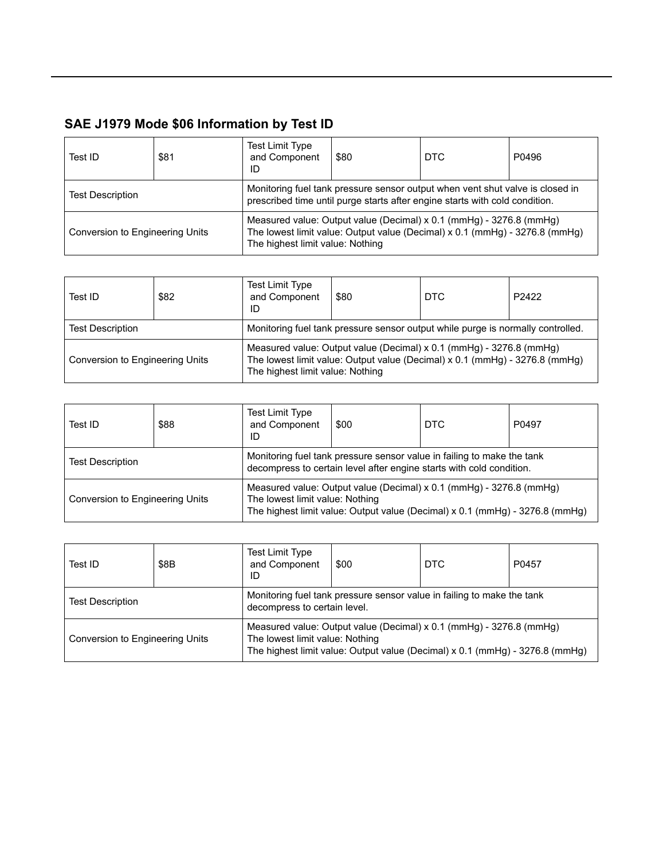| Test ID                         | \$81 | <b>Test Limit Type</b><br>and Component<br>ID | \$80                                                                                                                                                         | <b>DTC</b>                                                                                                                                         | P0496 |
|---------------------------------|------|-----------------------------------------------|--------------------------------------------------------------------------------------------------------------------------------------------------------------|----------------------------------------------------------------------------------------------------------------------------------------------------|-------|
| <b>Test Description</b>         |      |                                               | Monitoring fuel tank pressure sensor output when vent shut valve is closed in<br>prescribed time until purge starts after engine starts with cold condition. |                                                                                                                                                    |       |
| Conversion to Engineering Units |      | The highest limit value: Nothing              |                                                                                                                                                              | Measured value: Output value (Decimal) x 0.1 (mmHg) - 3276.8 (mmHg)<br>The lowest limit value: Output value (Decimal) x 0.1 (mmHg) - 3276.8 (mmHg) |       |

| Test ID                                                                                                    | \$82 | <b>Test Limit Type</b><br>and Component<br>ID | \$80 | <b>DTC</b>                                                                                                                                         | P2422 |
|------------------------------------------------------------------------------------------------------------|------|-----------------------------------------------|------|----------------------------------------------------------------------------------------------------------------------------------------------------|-------|
| Monitoring fuel tank pressure sensor output while purge is normally controlled.<br><b>Test Description</b> |      |                                               |      |                                                                                                                                                    |       |
| Conversion to Engineering Units                                                                            |      | The highest limit value: Nothing              |      | Measured value: Output value (Decimal) x 0.1 (mmHg) - 3276.8 (mmHg)<br>The lowest limit value: Output value (Decimal) x 0.1 (mmHg) - 3276.8 (mmHg) |       |

| Test ID                         | \$88 | <b>Test Limit Type</b><br>and Component<br>ID                                                                                                                                          | \$00 | <b>DTC</b> | P0497 |  |
|---------------------------------|------|----------------------------------------------------------------------------------------------------------------------------------------------------------------------------------------|------|------------|-------|--|
| <b>Test Description</b>         |      | Monitoring fuel tank pressure sensor value in failing to make the tank<br>decompress to certain level after engine starts with cold condition.                                         |      |            |       |  |
| Conversion to Engineering Units |      | Measured value: Output value (Decimal) x 0.1 (mmHg) - 3276.8 (mmHg)<br>The lowest limit value: Nothing<br>The highest limit value: Output value (Decimal) x 0.1 (mmHg) - 3276.8 (mmHg) |      |            |       |  |

| Test ID                         | \$8B                                                                                                   | Test Limit Type<br>and Component<br>ID                                                                                                                                                   | \$00 | <b>DTC</b> | P0457 |  |
|---------------------------------|--------------------------------------------------------------------------------------------------------|------------------------------------------------------------------------------------------------------------------------------------------------------------------------------------------|------|------------|-------|--|
| <b>Test Description</b>         | Monitoring fuel tank pressure sensor value in failing to make the tank<br>decompress to certain level. |                                                                                                                                                                                          |      |            |       |  |
| Conversion to Engineering Units |                                                                                                        | Measured value: Output value (Decimal) x 0.1 (mmHg) - 3276.8 (mmHg)<br>The lowest limit value: Nothing<br>The highest limit value: Output value (Decimal) $x$ 0.1 (mmHg) - 3276.8 (mmHg) |      |            |       |  |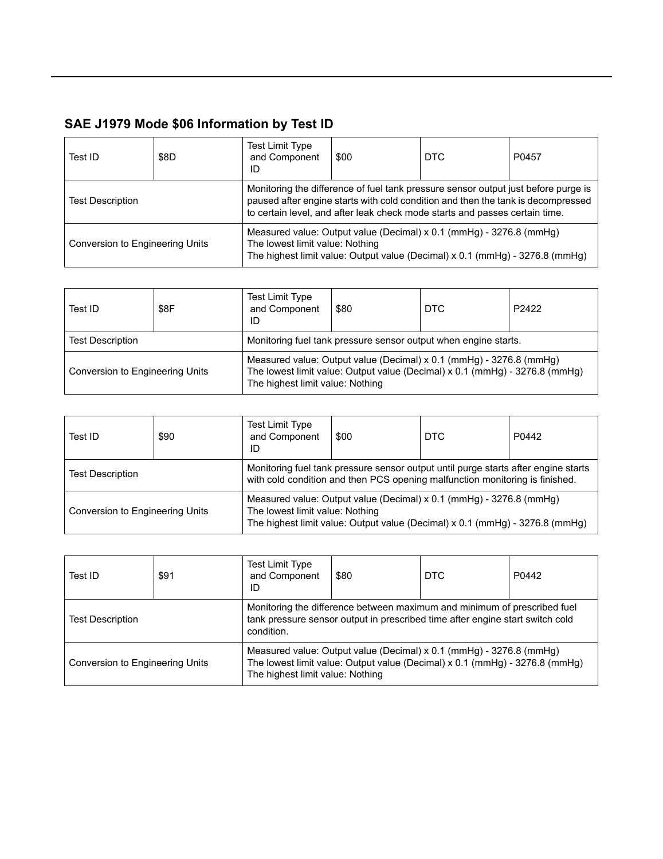| Test ID                         | \$8D | <b>Test Limit Type</b><br>and Component<br>ID                                                                                                                                                                                                         | \$00 | DTC                                                                                                                                                 | P0457 |
|---------------------------------|------|-------------------------------------------------------------------------------------------------------------------------------------------------------------------------------------------------------------------------------------------------------|------|-----------------------------------------------------------------------------------------------------------------------------------------------------|-------|
| <b>Test Description</b>         |      | Monitoring the difference of fuel tank pressure sensor output just before purge is<br>paused after engine starts with cold condition and then the tank is decompressed<br>to certain level, and after leak check mode starts and passes certain time. |      |                                                                                                                                                     |       |
| Conversion to Engineering Units |      | The lowest limit value: Nothing                                                                                                                                                                                                                       |      | Measured value: Output value (Decimal) x 0.1 (mmHg) - 3276.8 (mmHg)<br>The highest limit value: Output value (Decimal) x 0.1 (mmHg) - 3276.8 (mmHg) |       |

| Test ID                                                                                    | \$8F | Test Limit Type<br>and Component<br>ID | \$80 | DTC                                                                                                                                                | P <sub>2422</sub> |
|--------------------------------------------------------------------------------------------|------|----------------------------------------|------|----------------------------------------------------------------------------------------------------------------------------------------------------|-------------------|
| Monitoring fuel tank pressure sensor output when engine starts.<br><b>Test Description</b> |      |                                        |      |                                                                                                                                                    |                   |
| Conversion to Engineering Units                                                            |      | The highest limit value: Nothing       |      | Measured value: Output value (Decimal) x 0.1 (mmHg) - 3276.8 (mmHg)<br>The lowest limit value: Output value (Decimal) x 0.1 (mmHg) - 3276.8 (mmHg) |                   |

| Test ID                                | \$90 | <b>Test Limit Type</b><br>and Component<br>ID                                                                                                                      | \$00                                                                                                                                                | <b>DTC</b> | P0442 |
|----------------------------------------|------|--------------------------------------------------------------------------------------------------------------------------------------------------------------------|-----------------------------------------------------------------------------------------------------------------------------------------------------|------------|-------|
| <b>Test Description</b>                |      | Monitoring fuel tank pressure sensor output until purge starts after engine starts<br>with cold condition and then PCS opening malfunction monitoring is finished. |                                                                                                                                                     |            |       |
| <b>Conversion to Engineering Units</b> |      | The lowest limit value: Nothing                                                                                                                                    | Measured value: Output value (Decimal) x 0.1 (mmHg) - 3276.8 (mmHg)<br>The highest limit value: Output value (Decimal) x 0.1 (mmHg) - 3276.8 (mmHg) |            |       |

| Test ID                         | \$91 | <b>Test Limit Type</b><br>and Component<br>ID                                                                                                                                          | \$80 | <b>DTC</b> | P0442 |  |
|---------------------------------|------|----------------------------------------------------------------------------------------------------------------------------------------------------------------------------------------|------|------------|-------|--|
| <b>Test Description</b>         |      | Monitoring the difference between maximum and minimum of prescribed fuel<br>tank pressure sensor output in prescribed time after engine start switch cold<br>condition.                |      |            |       |  |
| Conversion to Engineering Units |      | Measured value: Output value (Decimal) x 0.1 (mmHg) - 3276.8 (mmHg)<br>The lowest limit value: Output value (Decimal) x 0.1 (mmHg) - 3276.8 (mmHg)<br>The highest limit value: Nothing |      |            |       |  |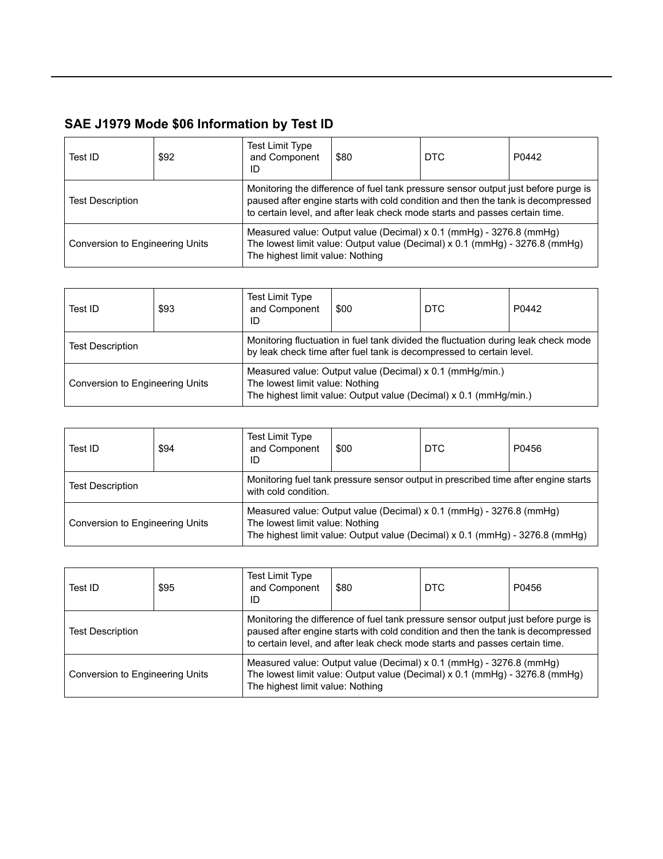| Test ID                         | \$92 | <b>Test Limit Type</b><br>and Component<br>ID | \$80                                                                                                                                                                                                                                                  | <b>DTC</b> | P0442 |
|---------------------------------|------|-----------------------------------------------|-------------------------------------------------------------------------------------------------------------------------------------------------------------------------------------------------------------------------------------------------------|------------|-------|
| <b>Test Description</b>         |      |                                               | Monitoring the difference of fuel tank pressure sensor output just before purge is<br>paused after engine starts with cold condition and then the tank is decompressed<br>to certain level, and after leak check mode starts and passes certain time. |            |       |
| Conversion to Engineering Units |      | The highest limit value: Nothing              | Measured value: Output value (Decimal) x 0.1 (mmHg) - 3276.8 (mmHg)<br>The lowest limit value: Output value (Decimal) x 0.1 (mmHg) - 3276.8 (mmHg)                                                                                                    |            |       |

| Test ID                         | \$93 | <b>Test Limit Type</b><br>and Component<br>ID | \$00                                                                                                                                                       | DTC                                                               | P0442 |
|---------------------------------|------|-----------------------------------------------|------------------------------------------------------------------------------------------------------------------------------------------------------------|-------------------------------------------------------------------|-------|
| <b>Test Description</b>         |      |                                               | Monitoring fluctuation in fuel tank divided the fluctuation during leak check mode<br>by leak check time after fuel tank is decompressed to certain level. |                                                                   |       |
| Conversion to Engineering Units |      | The lowest limit value: Nothing               | Measured value: Output value (Decimal) x 0.1 (mmHg/min.)                                                                                                   | The highest limit value: Output value (Decimal) x 0.1 (mmHg/min.) |       |

| Test ID                                                                                                                               | \$94 | <b>Test Limit Type</b><br>and Component<br>ID | \$00                                                                                                                                                                                   | <b>DTC</b> | P0456 |  |  |
|---------------------------------------------------------------------------------------------------------------------------------------|------|-----------------------------------------------|----------------------------------------------------------------------------------------------------------------------------------------------------------------------------------------|------------|-------|--|--|
| Monitoring fuel tank pressure sensor output in prescribed time after engine starts<br><b>Test Description</b><br>with cold condition. |      |                                               |                                                                                                                                                                                        |            |       |  |  |
| Conversion to Engineering Units                                                                                                       |      |                                               | Measured value: Output value (Decimal) x 0.1 (mmHg) - 3276.8 (mmHg)<br>The lowest limit value: Nothing<br>The highest limit value: Output value (Decimal) x 0.1 (mmHg) - 3276.8 (mmHg) |            |       |  |  |

| Test ID                         | \$95 | <b>Test Limit Type</b><br>and Component<br>ID | \$80                                                                                                                                                                                                                                                  | <b>DTC</b> | P0456 |
|---------------------------------|------|-----------------------------------------------|-------------------------------------------------------------------------------------------------------------------------------------------------------------------------------------------------------------------------------------------------------|------------|-------|
| <b>Test Description</b>         |      |                                               | Monitoring the difference of fuel tank pressure sensor output just before purge is<br>paused after engine starts with cold condition and then the tank is decompressed<br>to certain level, and after leak check mode starts and passes certain time. |            |       |
| Conversion to Engineering Units |      | The highest limit value: Nothing              | Measured value: Output value (Decimal) x 0.1 (mmHg) - 3276.8 (mmHg)<br>The lowest limit value: Output value (Decimal) x 0.1 (mmHg) - 3276.8 (mmHg)                                                                                                    |            |       |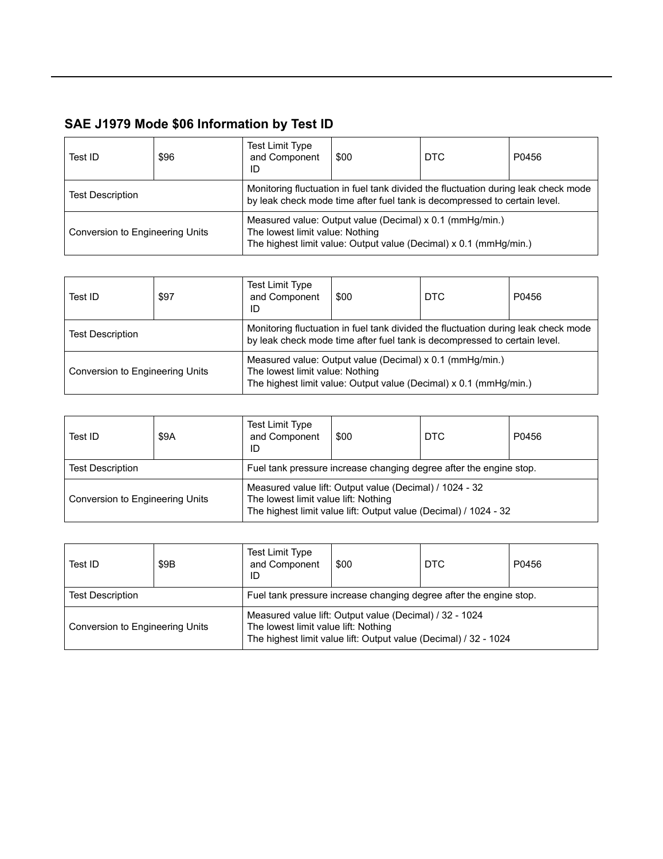| Test ID                         | \$96 | <b>Test Limit Type</b><br>and Component<br>ID | \$00                                                                                                                                                            | <b>DTC</b>                                                        | P0456 |
|---------------------------------|------|-----------------------------------------------|-----------------------------------------------------------------------------------------------------------------------------------------------------------------|-------------------------------------------------------------------|-------|
| <b>Test Description</b>         |      |                                               | Monitoring fluctuation in fuel tank divided the fluctuation during leak check mode<br>by leak check mode time after fuel tank is decompressed to certain level. |                                                                   |       |
| Conversion to Engineering Units |      | The lowest limit value: Nothing               | Measured value: Output value (Decimal) x 0.1 (mmHg/min.)                                                                                                        | The highest limit value: Output value (Decimal) x 0.1 (mmHg/min.) |       |

| Test ID                         | \$97 | <b>Test Limit Type</b><br>and Component<br>ID | \$00                                                                                                                                                            | DTC                                                               | P0456 |
|---------------------------------|------|-----------------------------------------------|-----------------------------------------------------------------------------------------------------------------------------------------------------------------|-------------------------------------------------------------------|-------|
| <b>Test Description</b>         |      |                                               | Monitoring fluctuation in fuel tank divided the fluctuation during leak check mode<br>by leak check mode time after fuel tank is decompressed to certain level. |                                                                   |       |
| Conversion to Engineering Units |      | The lowest limit value: Nothing               | Measured value: Output value (Decimal) x 0.1 (mmHg/min.)                                                                                                        | The highest limit value: Output value (Decimal) x 0.1 (mmHg/min.) |       |

| Test ID                         | \$9A | Test Limit Type<br>and Component<br>ID | \$00                                                               | DTC                                                              | P0456 |  |  |  |
|---------------------------------|------|----------------------------------------|--------------------------------------------------------------------|------------------------------------------------------------------|-------|--|--|--|
| <b>Test Description</b>         |      |                                        | Fuel tank pressure increase changing degree after the engine stop. |                                                                  |       |  |  |  |
| Conversion to Engineering Units |      | The lowest limit value lift: Nothing   | Measured value lift: Output value (Decimal) / 1024 - 32            | The highest limit value lift: Output value (Decimal) / 1024 - 32 |       |  |  |  |

| Test ID                         | \$9B | <b>Test Limit Type</b><br>and Component<br>ID                      | \$00                                                                                                                        | <b>DTC</b> | P0456 |  |  |
|---------------------------------|------|--------------------------------------------------------------------|-----------------------------------------------------------------------------------------------------------------------------|------------|-------|--|--|
| <b>Test Description</b>         |      | Fuel tank pressure increase changing degree after the engine stop. |                                                                                                                             |            |       |  |  |
| Conversion to Engineering Units |      | The lowest limit value lift: Nothing                               | Measured value lift: Output value (Decimal) / 32 - 1024<br>The highest limit value lift: Output value (Decimal) / 32 - 1024 |            |       |  |  |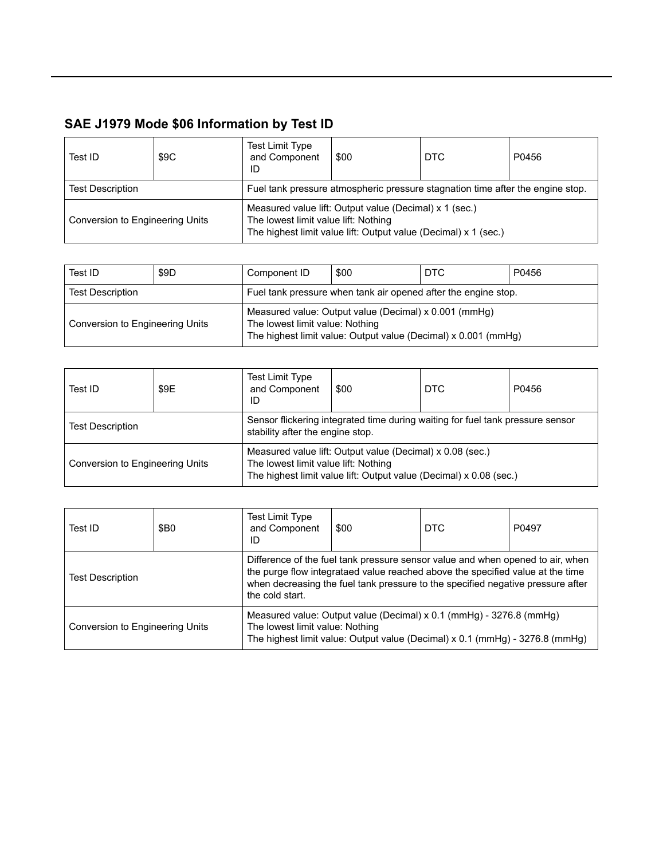| Test ID                         | \$9C | <b>Test Limit Type</b><br>and Component<br>ID                                  | \$00                                                                                                                      | DTC | P0456 |  |  |
|---------------------------------|------|--------------------------------------------------------------------------------|---------------------------------------------------------------------------------------------------------------------------|-----|-------|--|--|
| <b>Test Description</b>         |      | Fuel tank pressure atmospheric pressure stagnation time after the engine stop. |                                                                                                                           |     |       |  |  |
| Conversion to Engineering Units |      | The lowest limit value lift: Nothing                                           | Measured value lift: Output value (Decimal) x 1 (sec.)<br>The highest limit value lift: Output value (Decimal) x 1 (sec.) |     |       |  |  |

| Test ID                         | \$9D | Component ID                                                   | \$00                                                                                                                    | <b>DTC</b> | P0456 |
|---------------------------------|------|----------------------------------------------------------------|-------------------------------------------------------------------------------------------------------------------------|------------|-------|
| <b>Test Description</b>         |      | Fuel tank pressure when tank air opened after the engine stop. |                                                                                                                         |            |       |
| Conversion to Engineering Units |      | The lowest limit value: Nothing                                | Measured value: Output value (Decimal) x 0.001 (mmHg)<br>The highest limit value: Output value (Decimal) x 0.001 (mmHg) |            |       |

| Test ID                         | \$9E                                                                                                               | Test Limit Type<br>and Component<br>ID | \$00                                                                                                                            | <b>DTC</b> | P0456 |
|---------------------------------|--------------------------------------------------------------------------------------------------------------------|----------------------------------------|---------------------------------------------------------------------------------------------------------------------------------|------------|-------|
| <b>Test Description</b>         | Sensor flickering integrated time during waiting for fuel tank pressure sensor<br>stability after the engine stop. |                                        |                                                                                                                                 |            |       |
| Conversion to Engineering Units |                                                                                                                    | The lowest limit value lift: Nothing   | Measured value lift: Output value (Decimal) x 0.08 (sec.)<br>The highest limit value lift: Output value (Decimal) x 0.08 (sec.) |            |       |

| Test ID                         | \$B <sub>0</sub>                                                                                                                                                                                                                                                       | <b>Test Limit Type</b><br>and Component<br>ID | \$00                                                                                                                                                       | DTC | P0497 |
|---------------------------------|------------------------------------------------------------------------------------------------------------------------------------------------------------------------------------------------------------------------------------------------------------------------|-----------------------------------------------|------------------------------------------------------------------------------------------------------------------------------------------------------------|-----|-------|
| <b>Test Description</b>         | Difference of the fuel tank pressure sensor value and when opened to air, when<br>the purge flow integrataed value reached above the specified value at the time<br>when decreasing the fuel tank pressure to the specified negative pressure after<br>the cold start. |                                               |                                                                                                                                                            |     |       |
| Conversion to Engineering Units |                                                                                                                                                                                                                                                                        | The lowest limit value: Nothing               | Measured value: Output value (Decimal) x 0.1 (mmHg) - 3276.8 (mmHg)<br>The highest limit value: Output value (Decimal) $\times$ 0.1 (mmHg) - 3276.8 (mmHg) |     |       |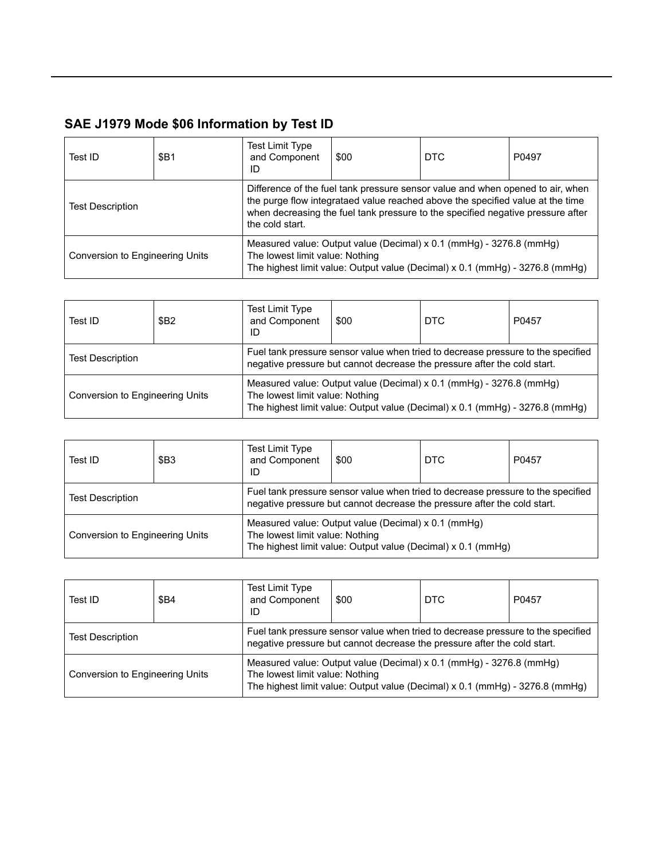| Test ID                         | \$B1                                                                                                                                                                                                                                                                   | <b>Test Limit Type</b><br>and Component<br>ID                                                                                                                                          | \$00 | <b>DTC</b> | P0497 |  |
|---------------------------------|------------------------------------------------------------------------------------------------------------------------------------------------------------------------------------------------------------------------------------------------------------------------|----------------------------------------------------------------------------------------------------------------------------------------------------------------------------------------|------|------------|-------|--|
| <b>Test Description</b>         | Difference of the fuel tank pressure sensor value and when opened to air, when<br>the purge flow integrataed value reached above the specified value at the time<br>when decreasing the fuel tank pressure to the specified negative pressure after<br>the cold start. |                                                                                                                                                                                        |      |            |       |  |
| Conversion to Engineering Units |                                                                                                                                                                                                                                                                        | Measured value: Output value (Decimal) x 0.1 (mmHg) - 3276.8 (mmHg)<br>The lowest limit value: Nothing<br>The highest limit value: Output value (Decimal) x 0.1 (mmHg) - 3276.8 (mmHg) |      |            |       |  |

| Test ID                         | <b>\$B2</b>                                                                                                                                                  | <b>Test Limit Type</b><br>and Component<br>ID | \$00                                                                                                                                                | <b>DTC</b> | P0457 |
|---------------------------------|--------------------------------------------------------------------------------------------------------------------------------------------------------------|-----------------------------------------------|-----------------------------------------------------------------------------------------------------------------------------------------------------|------------|-------|
| <b>Test Description</b>         | Fuel tank pressure sensor value when tried to decrease pressure to the specified<br>negative pressure but cannot decrease the pressure after the cold start. |                                               |                                                                                                                                                     |            |       |
| Conversion to Engineering Units |                                                                                                                                                              | The lowest limit value: Nothing               | Measured value: Output value (Decimal) x 0.1 (mmHg) - 3276.8 (mmHg)<br>The highest limit value: Output value (Decimal) x 0.1 (mmHg) - 3276.8 (mmHg) |            |       |

| Test ID                         | \$B <sub>3</sub> | <b>Test Limit Type</b><br>and Component<br>ID                                                                                                                | \$00                                                | <b>DTC</b>                                                   | P0457 |  |
|---------------------------------|------------------|--------------------------------------------------------------------------------------------------------------------------------------------------------------|-----------------------------------------------------|--------------------------------------------------------------|-------|--|
| <b>Test Description</b>         |                  | Fuel tank pressure sensor value when tried to decrease pressure to the specified<br>negative pressure but cannot decrease the pressure after the cold start. |                                                     |                                                              |       |  |
| Conversion to Engineering Units |                  | The lowest limit value: Nothing                                                                                                                              | Measured value: Output value (Decimal) x 0.1 (mmHg) | The highest limit value: Output value (Decimal) x 0.1 (mmHg) |       |  |

| Test ID                                                                                                                                                                                 | <b>\$B4</b> | <b>Test Limit Type</b><br>and Component<br>ID | \$00                                                                                                                                                | DTC | P0457 |
|-----------------------------------------------------------------------------------------------------------------------------------------------------------------------------------------|-------------|-----------------------------------------------|-----------------------------------------------------------------------------------------------------------------------------------------------------|-----|-------|
| Fuel tank pressure sensor value when tried to decrease pressure to the specified<br><b>Test Description</b><br>negative pressure but cannot decrease the pressure after the cold start. |             |                                               |                                                                                                                                                     |     |       |
| Conversion to Engineering Units                                                                                                                                                         |             | The lowest limit value: Nothing               | Measured value: Output value (Decimal) x 0.1 (mmHg) - 3276.8 (mmHg)<br>The highest limit value: Output value (Decimal) x 0.1 (mmHg) - 3276.8 (mmHg) |     |       |